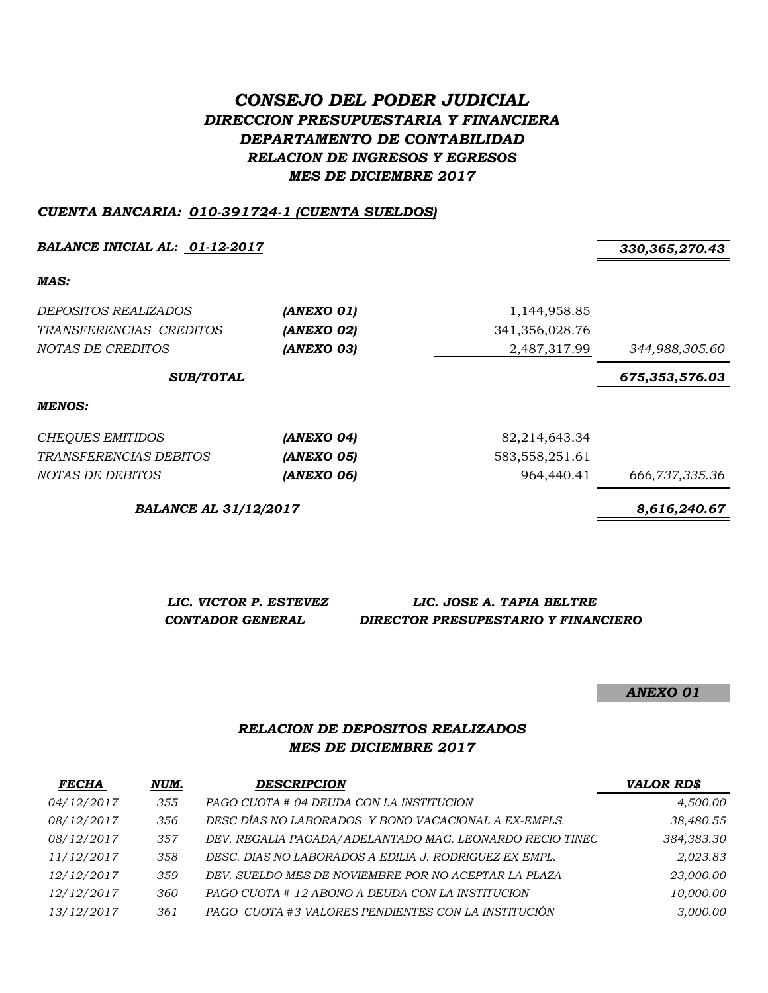# *CONSEJO DEL PODER JUDICIAL DIRECCION PRESUPUESTARIA Y FINANCIERA DEPARTAMENTO DE CONTABILIDAD RELACION DE INGRESOS Y EGRESOS MES DE DICIEMBRE 2017*

#### *CUENTA BANCARIA: 010-391724-1 (CUENTA SUELDOS)*

*BALANCE INICIAL AL: 01-12-2017 330,365,270.43*

*MAS:*

| DEPOSITOS REALIZADOS<br>TRANSFERENCIAS CREDITOS<br>NOTAS DE CREDITOS | (ANEXO 01)<br>(ANEXO 02)<br>(ANEXO 03) | 1,144,958.85<br>341,356,028.76<br>2,487,317.99 | 344,988,305.60 |
|----------------------------------------------------------------------|----------------------------------------|------------------------------------------------|----------------|
| <b>SUB/TOTAL</b>                                                     |                                        | 675,353,576.03                                 |                |
| MENOS:                                                               |                                        |                                                |                |
| <b>CHEQUES EMITIDOS</b>                                              | (ANEXO 04)                             | 82,214,643.34                                  |                |
| <i>TRANSFERENCIAS DEBITOS</i>                                        | (ANEXO 05)                             | 583, 558, 251.61                               |                |
| NOTAS DE DEBITOS                                                     | (ANEXO 06)                             | 964,440.41                                     | 666,737,335.36 |

*BALANCE AL 31/12/2017 8,616,240.67*

*LIC. VICTOR P. ESTEVEZ LIC. JOSE A. TAPIA BELTRE CONTADOR GENERAL DIRECTOR PRESUPESTARIO Y FINANCIERO*

*ANEXO 01*

### *RELACION DE DEPOSITOS REALIZADOS MES DE DICIEMBRE 2017*

| <b>FECHA</b> | NUM. | <b>DESCRIPCION</b>                                       | <b>VALOR RD\$</b> |
|--------------|------|----------------------------------------------------------|-------------------|
| 04/12/2017   | 355  | PAGO CUOTA # 04 DEUDA CON LA INSTITUCION                 | 4,500.00          |
| 08/12/2017   | 356  | DESC DÍAS NO LABORADOS Y BONO VACACIONAL A EX-EMPLS.     | 38,480.55         |
| 08/12/2017   | 357  | DEV. REGALIA PAGADA/ADELANTADO MAG. LEONARDO RECIO TINEC | 384,383.30        |
| 11/12/2017   | 358  | DESC. DIAS NO LABORADOS A EDILIA J. RODRIGUEZ EX EMPL.   | 2,023.83          |
| 12/12/2017   | 359  | DEV. SUELDO MES DE NOVIEMBRE POR NO ACEPTAR LA PLAZA     | 23,000.00         |
| 12/12/2017   | 360  | PAGO CUOTA # 12 ABONO A DEUDA CON LA INSTITUCION         | 10,000.00         |
| 13/12/2017   | 361  | PAGO CUOTA #3 VALORES PENDIENTES CON LA INSTITUCIÓN      | 3,000.00          |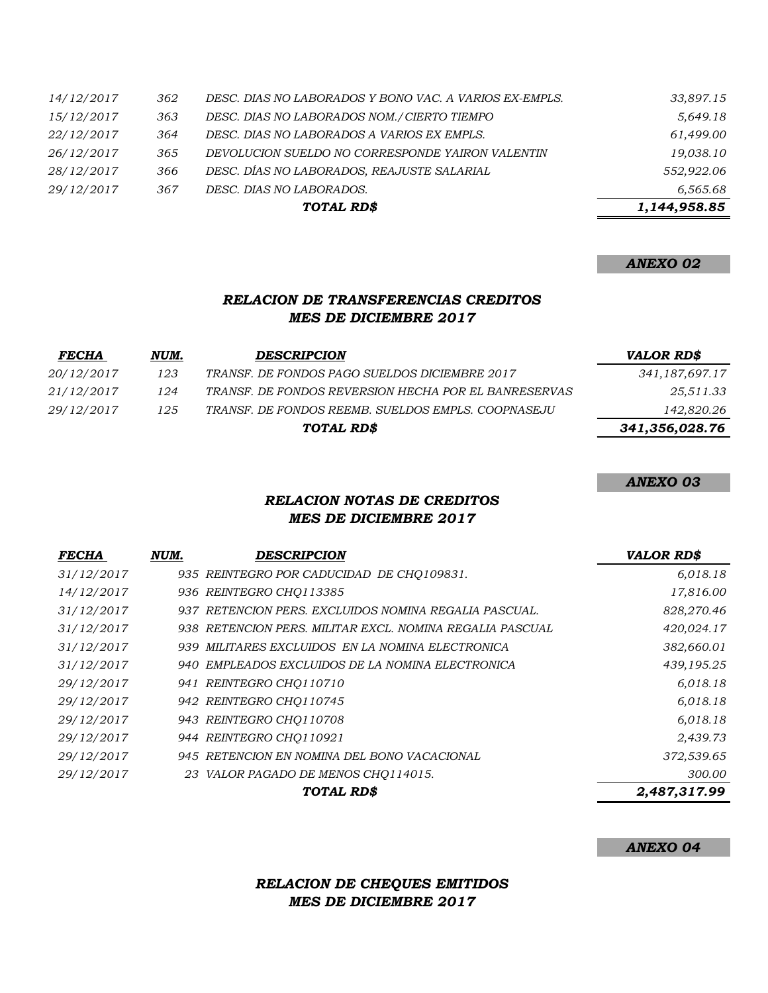|                   |     | TOTAL RD\$                                             | 1,144,958.85 |
|-------------------|-----|--------------------------------------------------------|--------------|
| 29/12/2017        | 367 | DESC. DIAS NO LABORADOS.                               | 6,565.68     |
| 28/12/2017        | 366 | DESC. DÍAS NO LABORADOS, REAJUSTE SALARIAL             | 552,922.06   |
| 26/12/2017        | 365 | DEVOLUCION SUELDO NO CORRESPONDE YAIRON VALENTIN       | 19,038.10    |
| 22/12/2017        | 364 | DESC. DIAS NO LABORADOS A VARIOS EX EMPLS.             | 61,499.00    |
| 15/12/2017        | 363 | DESC. DIAS NO LABORADOS NOM./ CIERTO TIEMPO            | 5,649.18     |
| <i>14/12/2017</i> | 362 | DESC. DIAS NO LABORADOS Y BONO VAC. A VARIOS EX-EMPLS. | 33,897.15    |
|                   |     |                                                        |              |

### *ANEXO 02*

## *RELACION DE TRANSFERENCIAS CREDITOS MES DE DICIEMBRE 2017*

| <b>FECHA</b>      | NUM. | <b>DESCRIPCION</b>                                   | <b>VALOR RD\$</b> |
|-------------------|------|------------------------------------------------------|-------------------|
| <i>20/12/2017</i> | 123  | TRANSF. DE FONDOS PAGO SUELDOS DICIEMBRE 2017        | 341,187,697.17    |
| <i>21/12/2017</i> | 124  | TRANSF. DE FONDOS REVERSION HECHA POR EL BANRESERVAS | 25,511.33         |
| <i>29/12/2017</i> | 125  | TRANSF. DE FONDOS REEMB. SUELDOS EMPLS. COOPNASEJU   | 142,820.26        |
|                   |      | TOTAL RD\$                                           | 341,356,028.76    |

#### *ANEXO 03*

## *RELACION NOTAS DE CREDITOS MES DE DICIEMBRE 2017*

| <b>FECHA</b> | NUM. | DESCRIPCION                                              | <b>VALOR RD\$</b> |
|--------------|------|----------------------------------------------------------|-------------------|
| 31/12/2017   |      | 935 REINTEGRO POR CADUCIDAD DE CHO109831.                | 6,018.18          |
| 14/12/2017   |      | 936 REINTEGRO CHO113385                                  | 17,816.00         |
| 31/12/2017   |      | 937 RETENCION PERS. EXCLUIDOS NOMINA REGALIA PASCUAL.    | 828,270.46        |
| 31/12/2017   |      | 938 RETENCION PERS. MILITAR EXCL. NOMINA REGALIA PASCUAL | 420,024.17        |
| 31/12/2017   |      | 939 MILITARES EXCLUIDOS EN LA NOMINA ELECTRONICA         | 382,660.01        |
| 31/12/2017   |      | 940 EMPLEADOS EXCLUIDOS DE LA NOMINA ELECTRONICA         | 439,195.25        |
| 29/12/2017   |      | 941 REINTEGRO CHO110710                                  | 6,018.18          |
| 29/12/2017   |      | 942 REINTEGRO CHQ110745                                  | 6,018.18          |
| 29/12/2017   |      | 943 REINTEGRO CHO110708                                  | 6,018.18          |
| 29/12/2017   |      | 944 REINTEGRO CHQ110921                                  | 2,439.73          |
| 29/12/2017   |      | 945 RETENCION EN NOMINA DEL BONO VACACIONAL              | 372,539.65        |
| 29/12/2017   |      | 23 VALOR PAGADO DE MENOS CHO114015.                      | 300.00            |
|              |      | TOTAL RD\$                                               | 2,487,317.99      |

#### *ANEXO 04*

## *RELACION DE CHEQUES EMITIDOS MES DE DICIEMBRE 2017*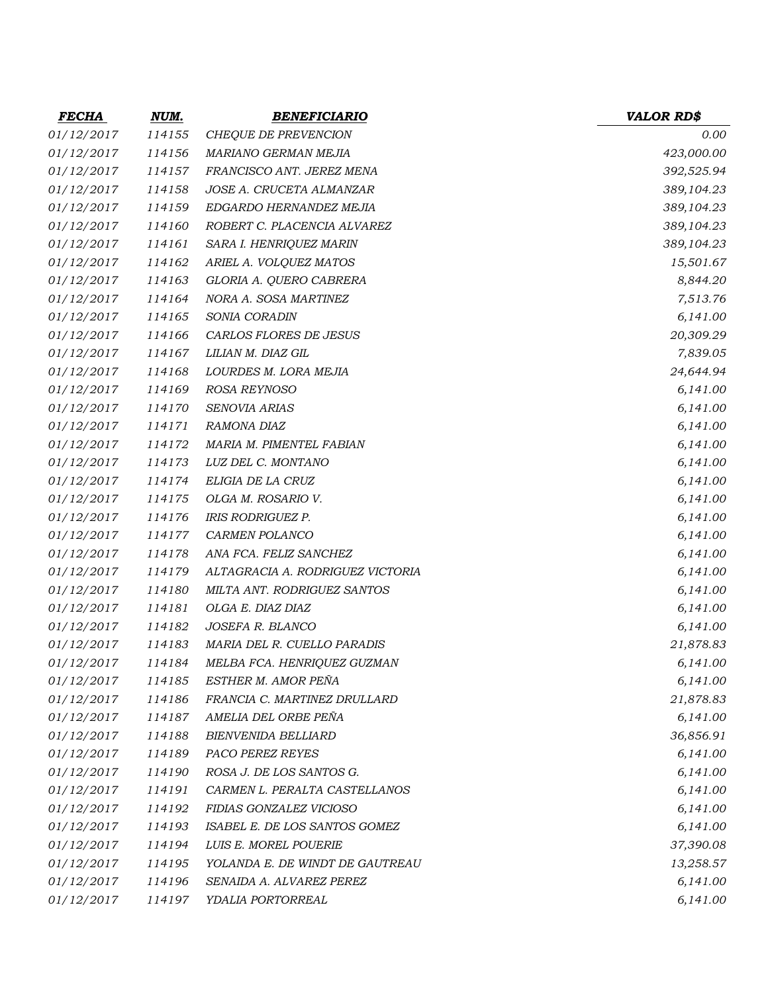| <b>FECHA</b>      | <u>NUM.</u> | <b>BENEFICIARIO</b>              | <b>VALOR RD\$</b> |
|-------------------|-------------|----------------------------------|-------------------|
| 01/12/2017        | 114155      | CHEQUE DE PREVENCION             | 0.00              |
| <i>01/12/2017</i> | 114156      | MARIANO GERMAN MEJIA             | 423,000.00        |
| 01/12/2017        | 114157      | FRANCISCO ANT. JEREZ MENA        | 392,525.94        |
| 01/12/2017        | 114158      | JOSE A. CRUCETA ALMANZAR         | 389,104.23        |
| <i>01/12/2017</i> | 114159      | EDGARDO HERNANDEZ MEJIA          | 389,104.23        |
| 01/12/2017        | 114160      | ROBERT C. PLACENCIA ALVAREZ      | 389,104.23        |
| 01/12/2017        | 114161      | SARA I. HENRIQUEZ MARIN          | 389,104.23        |
| 01/12/2017        | 114162      | ARIEL A. VOLQUEZ MATOS           | 15,501.67         |
| 01/12/2017        | 114163      | GLORIA A. QUERO CABRERA          | 8,844.20          |
| 01/12/2017        | 114164      | NORA A. SOSA MARTINEZ            | 7,513.76          |
| 01/12/2017        | 114165      | SONIA CORADIN                    | 6,141.00          |
| <i>01/12/2017</i> | 114166      | CARLOS FLORES DE JESUS           | 20,309.29         |
| 01/12/2017        | 114167      | LILIAN M. DIAZ GIL               | 7,839.05          |
| 01/12/2017        | 114168      | LOURDES M. LORA MEJIA            | 24,644.94         |
| 01/12/2017        | 114169      | ROSA REYNOSO                     | 6,141.00          |
| 01/12/2017        | 114170      | SENOVIA ARIAS                    | 6,141.00          |
| 01/12/2017        | 114171      | RAMONA DIAZ                      | 6,141.00          |
| 01/12/2017        | 114172      | MARIA M. PIMENTEL FABIAN         | 6,141.00          |
| <i>01/12/2017</i> | 114173      | LUZ DEL C. MONTANO               | 6,141.00          |
| 01/12/2017        | 114174      | ELIGIA DE LA CRUZ                | 6,141.00          |
| 01/12/2017        | 114175      | OLGA M. ROSARIO V.               | 6,141.00          |
| 01/12/2017        | 114176      | <b>IRIS RODRIGUEZ P.</b>         | 6,141.00          |
| <i>01/12/2017</i> | 114177      | CARMEN POLANCO                   | 6,141.00          |
| <i>01/12/2017</i> | 114178      | ANA FCA. FELIZ SANCHEZ           | 6,141.00          |
| 01/12/2017        | 114179      | ALTAGRACIA A. RODRIGUEZ VICTORIA | 6,141.00          |
| 01/12/2017        | 114180      | MILTA ANT. RODRIGUEZ SANTOS      | 6,141.00          |
| 01/12/2017        | 114181      | OLGA E. DIAZ DIAZ                | 6,141.00          |
| 01/12/2017        | 114182      | JOSEFA R. BLANCO                 | 6,141.00          |
| 01/12/2017        | 114183      | MARIA DEL R. CUELLO PARADIS      | 21,878.83         |
| 01/12/2017        | 114184      | MELBA FCA. HENRIQUEZ GUZMAN      | 6,141.00          |
| 01/12/2017        | 114185      | ESTHER M. AMOR PEÑA              | 6,141.00          |
| 01/12/2017        | 114186      | FRANCIA C. MARTINEZ DRULLARD     | 21,878.83         |
| 01/12/2017        | 114187      | AMELIA DEL ORBE PEÑA             | 6,141.00          |
| 01/12/2017        | 114188      | <b>BIENVENIDA BELLIARD</b>       | 36,856.91         |
| 01/12/2017        | 114189      | PACO PEREZ REYES                 | 6,141.00          |
| 01/12/2017        | 114190      | ROSA J. DE LOS SANTOS G.         | 6,141.00          |
| 01/12/2017        | 114191      | CARMEN L. PERALTA CASTELLANOS    | 6,141.00          |
| 01/12/2017        | 114192      | FIDIAS GONZALEZ VICIOSO          | 6,141.00          |
| 01/12/2017        | 114193      | ISABEL E. DE LOS SANTOS GOMEZ    | 6,141.00          |
| 01/12/2017        | 114194      | LUIS E. MOREL POUERIE            | 37,390.08         |
| 01/12/2017        | 114195      | YOLANDA E. DE WINDT DE GAUTREAU  | 13,258.57         |
| 01/12/2017        | 114196      | SENAIDA A. ALVAREZ PEREZ         | 6,141.00          |
| 01/12/2017        | 114197      | YDALIA PORTORREAL                | 6,141.00          |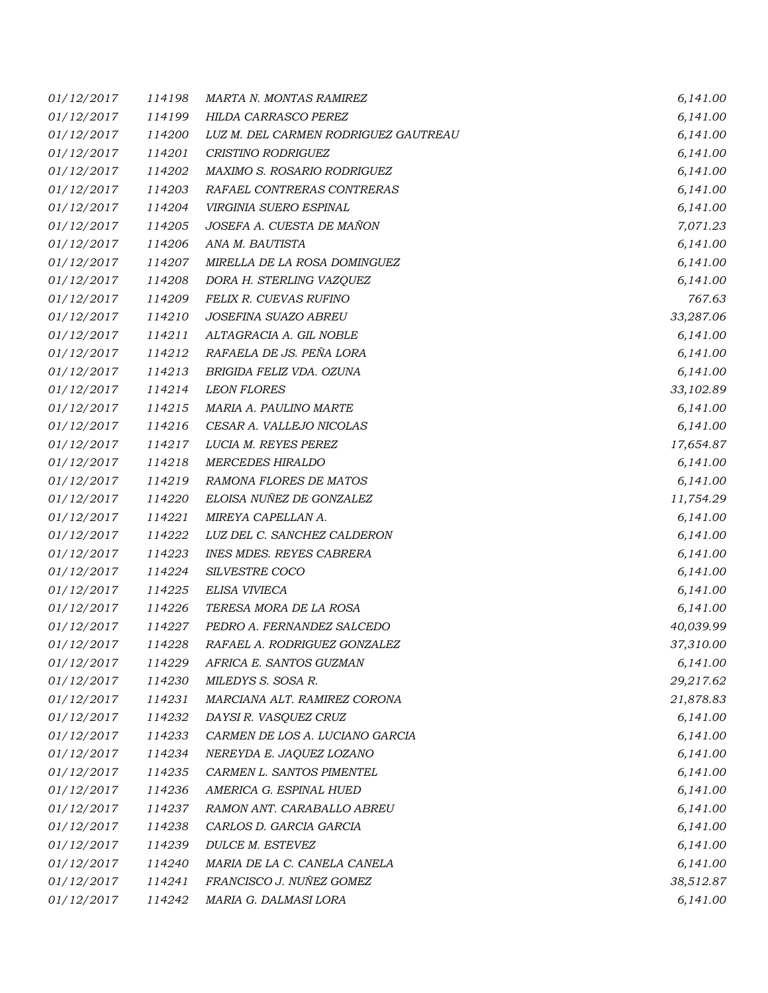| <i>01/12/2017</i> | 114198 | MARTA N. MONTAS RAMIREZ              | 6,141.00  |
|-------------------|--------|--------------------------------------|-----------|
| 01/12/2017        | 114199 | HILDA CARRASCO PEREZ                 | 6,141.00  |
| <i>01/12/2017</i> | 114200 | LUZ M. DEL CARMEN RODRIGUEZ GAUTREAU | 6,141.00  |
| 01/12/2017        | 114201 | CRISTINO RODRIGUEZ                   | 6,141.00  |
| 01/12/2017        | 114202 | MAXIMO S. ROSARIO RODRIGUEZ          | 6,141.00  |
| 01/12/2017        | 114203 | RAFAEL CONTRERAS CONTRERAS           | 6,141.00  |
| 01/12/2017        | 114204 | VIRGINIA SUERO ESPINAL               | 6,141.00  |
| 01/12/2017        | 114205 | JOSEFA A. CUESTA DE MAÑON            | 7,071.23  |
| 01/12/2017        | 114206 | ANA M. BAUTISTA                      | 6,141.00  |
| <i>01/12/2017</i> | 114207 | MIRELLA DE LA ROSA DOMINGUEZ         | 6,141.00  |
| 01/12/2017        | 114208 | DORA H. STERLING VAZQUEZ             | 6,141.00  |
| 01/12/2017        | 114209 | FELIX R. CUEVAS RUFINO               | 767.63    |
| 01/12/2017        | 114210 | JOSEFINA SUAZO ABREU                 | 33,287.06 |
| 01/12/2017        | 114211 | ALTAGRACIA A. GIL NOBLE              | 6,141.00  |
| 01/12/2017        | 114212 | RAFAELA DE JS. PEÑA LORA             | 6,141.00  |
| 01/12/2017        | 114213 | BRIGIDA FELIZ VDA. OZUNA             | 6,141.00  |
| <i>01/12/2017</i> | 114214 | <b>LEON FLORES</b>                   | 33,102.89 |
| 01/12/2017        | 114215 | MARIA A. PAULINO MARTE               | 6,141.00  |
| 01/12/2017        | 114216 | CESAR A. VALLEJO NICOLAS             | 6,141.00  |
| 01/12/2017        | 114217 | LUCIA M. REYES PEREZ                 | 17,654.87 |
| 01/12/2017        | 114218 | <b>MERCEDES HIRALDO</b>              | 6,141.00  |
| <i>01/12/2017</i> | 114219 | RAMONA FLORES DE MATOS               | 6,141.00  |
| 01/12/2017        | 114220 | ELOISA NUÑEZ DE GONZALEZ             | 11,754.29 |
| 01/12/2017        | 114221 | MIREYA CAPELLAN A.                   | 6,141.00  |
| 01/12/2017        | 114222 | LUZ DEL C. SANCHEZ CALDERON          | 6,141.00  |
| 01/12/2017        | 114223 | <b>INES MDES. REYES CABRERA</b>      | 6,141.00  |
| 01/12/2017        | 114224 | SILVESTRE COCO                       | 6,141.00  |
| 01/12/2017        | 114225 | ELISA VIVIECA                        | 6,141.00  |
| 01/12/2017        | 114226 | TERESA MORA DE LA ROSA               | 6,141.00  |
| 01/12/2017        | 114227 | PEDRO A. FERNANDEZ SALCEDO           | 40,039.99 |
| 01/12/2017        | 114228 | RAFAEL A. RODRIGUEZ GONZALEZ         | 37,310.00 |
| 01/12/2017        | 114229 | AFRICA E. SANTOS GUZMAN              | 6,141.00  |
| 01/12/2017        | 114230 | MILEDYS S. SOSA R.                   | 29,217.62 |
| 01/12/2017        | 114231 | MARCIANA ALT. RAMIREZ CORONA         | 21,878.83 |
| 01/12/2017        | 114232 | DAYSI R. VASQUEZ CRUZ                | 6,141.00  |
| 01/12/2017        | 114233 | CARMEN DE LOS A. LUCIANO GARCIA      | 6,141.00  |
| 01/12/2017        | 114234 | NEREYDA E. JAQUEZ LOZANO             | 6,141.00  |
| 01/12/2017        | 114235 | CARMEN L. SANTOS PIMENTEL            | 6,141.00  |
| 01/12/2017        | 114236 | AMERICA G. ESPINAL HUED              | 6,141.00  |
| 01/12/2017        | 114237 | RAMON ANT. CARABALLO ABREU           | 6,141.00  |
| <i>01/12/2017</i> | 114238 | CARLOS D. GARCIA GARCIA              | 6,141.00  |
| 01/12/2017        | 114239 | DULCE M. ESTEVEZ                     | 6,141.00  |
| <i>01/12/2017</i> | 114240 | MARIA DE LA C. CANELA CANELA         | 6,141.00  |
| 01/12/2017        | 114241 | FRANCISCO J. NUÑEZ GOMEZ             | 38,512.87 |
| 01/12/2017        | 114242 | MARIA G. DALMASI LORA                | 6,141.00  |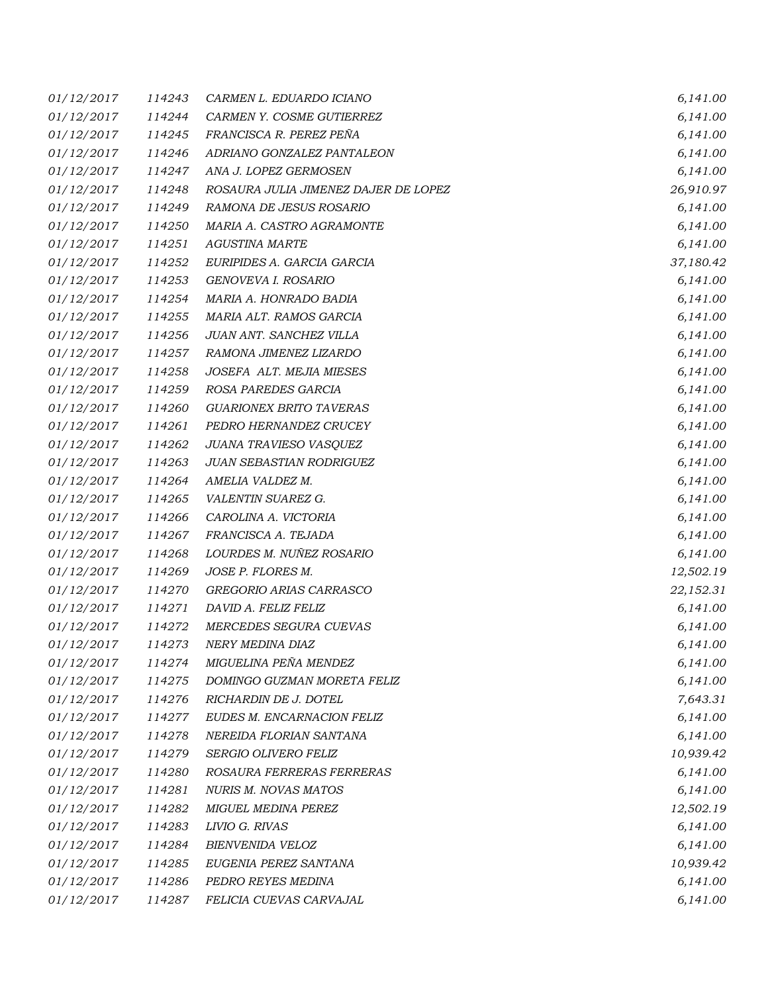| <i>01/12/2017</i> | 114243 | CARMEN L. EDUARDO ICIANO             | 6,141.00  |
|-------------------|--------|--------------------------------------|-----------|
| 01/12/2017        | 114244 | CARMEN Y. COSME GUTIERREZ            | 6,141.00  |
| <i>01/12/2017</i> | 114245 | FRANCISCA R. PEREZ PEÑA              | 6,141.00  |
| 01/12/2017        | 114246 | ADRIANO GONZALEZ PANTALEON           | 6,141.00  |
| 01/12/2017        | 114247 | ANA J. LOPEZ GERMOSEN                | 6,141.00  |
| 01/12/2017        | 114248 | ROSAURA JULIA JIMENEZ DAJER DE LOPEZ | 26,910.97 |
| 01/12/2017        | 114249 | RAMONA DE JESUS ROSARIO              | 6,141.00  |
| 01/12/2017        | 114250 | MARIA A. CASTRO AGRAMONTE            | 6,141.00  |
| 01/12/2017        | 114251 | <b>AGUSTINA MARTE</b>                | 6,141.00  |
| <i>01/12/2017</i> | 114252 | EURIPIDES A. GARCIA GARCIA           | 37,180.42 |
| 01/12/2017        | 114253 | GENOVEVA I. ROSARIO                  | 6,141.00  |
| 01/12/2017        | 114254 | MARIA A. HONRADO BADIA               | 6,141.00  |
| 01/12/2017        | 114255 | MARIA ALT. RAMOS GARCIA              | 6,141.00  |
| 01/12/2017        | 114256 | JUAN ANT. SANCHEZ VILLA              | 6,141.00  |
| 01/12/2017        | 114257 | RAMONA JIMENEZ LIZARDO               | 6,141.00  |
| 01/12/2017        | 114258 | JOSEFA ALT. MEJIA MIESES             | 6,141.00  |
| <i>01/12/2017</i> | 114259 | ROSA PAREDES GARCIA                  | 6,141.00  |
| 01/12/2017        | 114260 | <b>GUARIONEX BRITO TAVERAS</b>       | 6,141.00  |
| 01/12/2017        | 114261 | PEDRO HERNANDEZ CRUCEY               | 6,141.00  |
| 01/12/2017        | 114262 | JUANA TRAVIESO VASQUEZ               | 6,141.00  |
| 01/12/2017        | 114263 | JUAN SEBASTIAN RODRIGUEZ             | 6,141.00  |
| <i>01/12/2017</i> | 114264 | AMELIA VALDEZ M.                     | 6,141.00  |
| 01/12/2017        | 114265 | VALENTIN SUAREZ G.                   | 6,141.00  |
| 01/12/2017        | 114266 | CAROLINA A. VICTORIA                 | 6,141.00  |
| 01/12/2017        | 114267 | FRANCISCA A. TEJADA                  | 6,141.00  |
| 01/12/2017        | 114268 | LOURDES M. NUÑEZ ROSARIO             | 6,141.00  |
| 01/12/2017        | 114269 | JOSE P. FLORES M.                    | 12,502.19 |
| 01/12/2017        | 114270 | GREGORIO ARIAS CARRASCO              | 22,152.31 |
| 01/12/2017        | 114271 | DAVID A. FELIZ FELIZ                 | 6,141.00  |
| 01/12/2017        | 114272 | MERCEDES SEGURA CUEVAS               | 6,141.00  |
| 01/12/2017        | 114273 | NERY MEDINA DIAZ                     | 6,141.00  |
| 01/12/2017        | 114274 | MIGUELINA PEÑA MENDEZ                | 6,141.00  |
| 01/12/2017        | 114275 | DOMINGO GUZMAN MORETA FELIZ          | 6,141.00  |
| 01/12/2017        | 114276 | RICHARDIN DE J. DOTEL                | 7,643.31  |
| 01/12/2017        | 114277 | EUDES M. ENCARNACION FELIZ           | 6,141.00  |
| 01/12/2017        | 114278 | NEREIDA FLORIAN SANTANA              | 6,141.00  |
| 01/12/2017        | 114279 | SERGIO OLIVERO FELIZ                 | 10,939.42 |
| 01/12/2017        | 114280 | ROSAURA FERRERAS FERRERAS            | 6,141.00  |
| 01/12/2017        | 114281 | <b>NURIS M. NOVAS MATOS</b>          | 6,141.00  |
| 01/12/2017        | 114282 | MIGUEL MEDINA PEREZ                  | 12,502.19 |
| 01/12/2017        | 114283 | LIVIO G. RIVAS                       | 6,141.00  |
| 01/12/2017        | 114284 | BIENVENIDA VELOZ                     | 6,141.00  |
| 01/12/2017        | 114285 | EUGENIA PEREZ SANTANA                | 10,939.42 |
| 01/12/2017        | 114286 | PEDRO REYES MEDINA                   | 6,141.00  |
| 01/12/2017        | 114287 | FELICIA CUEVAS CARVAJAL              | 6,141.00  |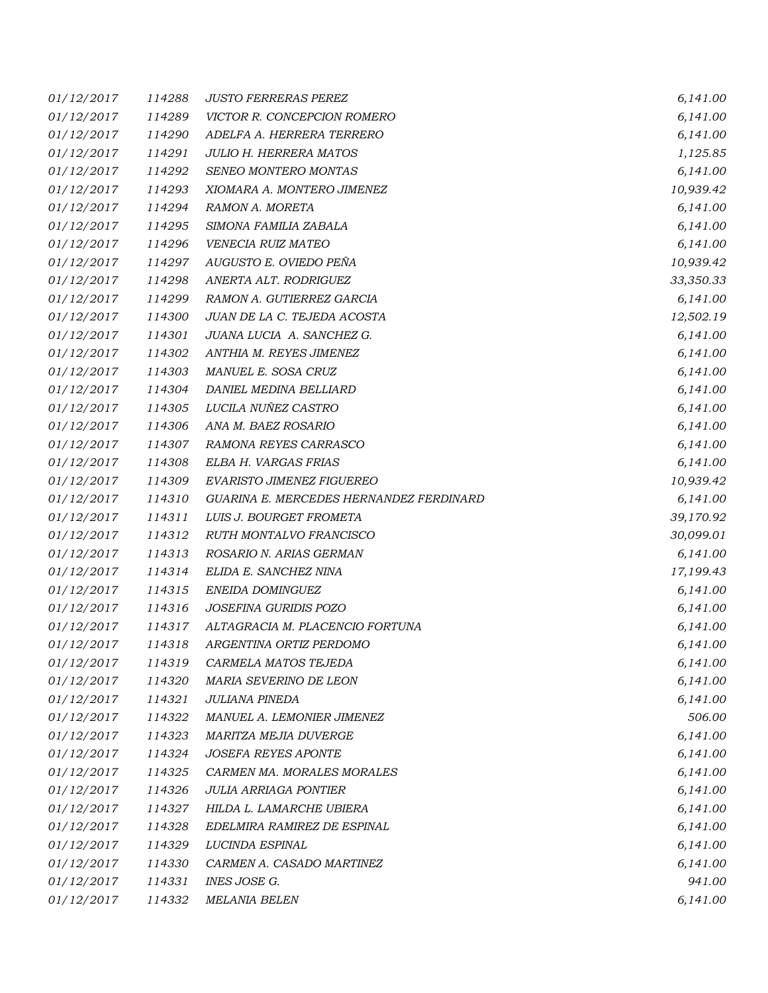| <i>01/12/2017</i> | 114288 | <b>JUSTO FERRERAS PEREZ</b>             | 6,141.00  |
|-------------------|--------|-----------------------------------------|-----------|
| 01/12/2017        | 114289 | VICTOR R. CONCEPCION ROMERO             | 6,141.00  |
| <i>01/12/2017</i> | 114290 | ADELFA A. HERRERA TERRERO               | 6,141.00  |
| 01/12/2017        | 114291 | <b>JULIO H. HERRERA MATOS</b>           | 1,125.85  |
| <i>01/12/2017</i> | 114292 | SENEO MONTERO MONTAS                    | 6,141.00  |
| 01/12/2017        | 114293 | XIOMARA A. MONTERO JIMENEZ              | 10,939.42 |
| <i>01/12/2017</i> | 114294 | RAMON A. MORETA                         | 6,141.00  |
| 01/12/2017        | 114295 | SIMONA FAMILIA ZABALA                   | 6,141.00  |
| 01/12/2017        | 114296 | VENECIA RUIZ MATEO                      | 6,141.00  |
| 01/12/2017        | 114297 | AUGUSTO E. OVIEDO PEÑA                  | 10,939.42 |
| 01/12/2017        | 114298 | ANERTA ALT. RODRIGUEZ                   | 33,350.33 |
| 01/12/2017        | 114299 | RAMON A. GUTIERREZ GARCIA               | 6,141.00  |
| 01/12/2017        | 114300 | JUAN DE LA C. TEJEDA ACOSTA             | 12,502.19 |
| <i>01/12/2017</i> | 114301 | JUANA LUCIA A. SANCHEZ G.               | 6,141.00  |
| 01/12/2017        | 114302 | ANTHIA M. REYES JIMENEZ                 | 6,141.00  |
| 01/12/2017        | 114303 | MANUEL E. SOSA CRUZ                     | 6,141.00  |
| 01/12/2017        | 114304 | DANIEL MEDINA BELLIARD                  | 6,141.00  |
| 01/12/2017        | 114305 | LUCILA NUÑEZ CASTRO                     | 6,141.00  |
| 01/12/2017        | 114306 | ANA M. BAEZ ROSARIO                     | 6,141.00  |
| 01/12/2017        | 114307 | RAMONA REYES CARRASCO                   | 6,141.00  |
| 01/12/2017        | 114308 | ELBA H. VARGAS FRIAS                    | 6,141.00  |
| 01/12/2017        | 114309 | EVARISTO JIMENEZ FIGUEREO               | 10,939.42 |
| 01/12/2017        | 114310 | GUARINA E. MERCEDES HERNANDEZ FERDINARD | 6,141.00  |
| 01/12/2017        | 114311 | LUIS J. BOURGET FROMETA                 | 39,170.92 |
| 01/12/2017        | 114312 | RUTH MONTALVO FRANCISCO                 | 30,099.01 |
| 01/12/2017        | 114313 | ROSARIO N. ARIAS GERMAN                 | 6,141.00  |
| 01/12/2017        | 114314 | ELIDA E. SANCHEZ NINA                   | 17,199.43 |
| 01/12/2017        | 114315 | ENEIDA DOMINGUEZ                        | 6,141.00  |
| 01/12/2017        | 114316 | JOSEFINA GURIDIS POZO                   | 6,141.00  |
| 01/12/2017        | 114317 | ALTAGRACIA M. PLACENCIO FORTUNA         | 6,141.00  |
| 01/12/2017        | 114318 | ARGENTINA ORTIZ PERDOMO                 | 6,141.00  |
| 01/12/2017        | 114319 | CARMELA MATOS TEJEDA                    | 6,141.00  |
| 01/12/2017        | 114320 | MARIA SEVERINO DE LEON                  | 6,141.00  |
| 01/12/2017        | 114321 | JULIANA PINEDA                          | 6,141.00  |
| 01/12/2017        | 114322 | MANUEL A. LEMONIER JIMENEZ              | 506.00    |
| 01/12/2017        | 114323 | MARITZA MEJIA DUVERGE                   | 6,141.00  |
| 01/12/2017        | 114324 | <b>JOSEFA REYES APONTE</b>              | 6,141.00  |
| 01/12/2017        | 114325 | CARMEN MA. MORALES MORALES              | 6,141.00  |
| 01/12/2017        | 114326 | <b>JULIA ARRIAGA PONTIER</b>            | 6,141.00  |
| 01/12/2017        | 114327 | HILDA L. LAMARCHE UBIERA                | 6,141.00  |
| 01/12/2017        | 114328 | EDELMIRA RAMIREZ DE ESPINAL             | 6,141.00  |
| 01/12/2017        | 114329 | LUCINDA ESPINAL                         | 6,141.00  |
| 01/12/2017        | 114330 | CARMEN A. CASADO MARTINEZ               | 6,141.00  |
| 01/12/2017        | 114331 | INES JOSE G.                            | 941.00    |
| 01/12/2017        | 114332 | MELANIA BELEN                           | 6,141.00  |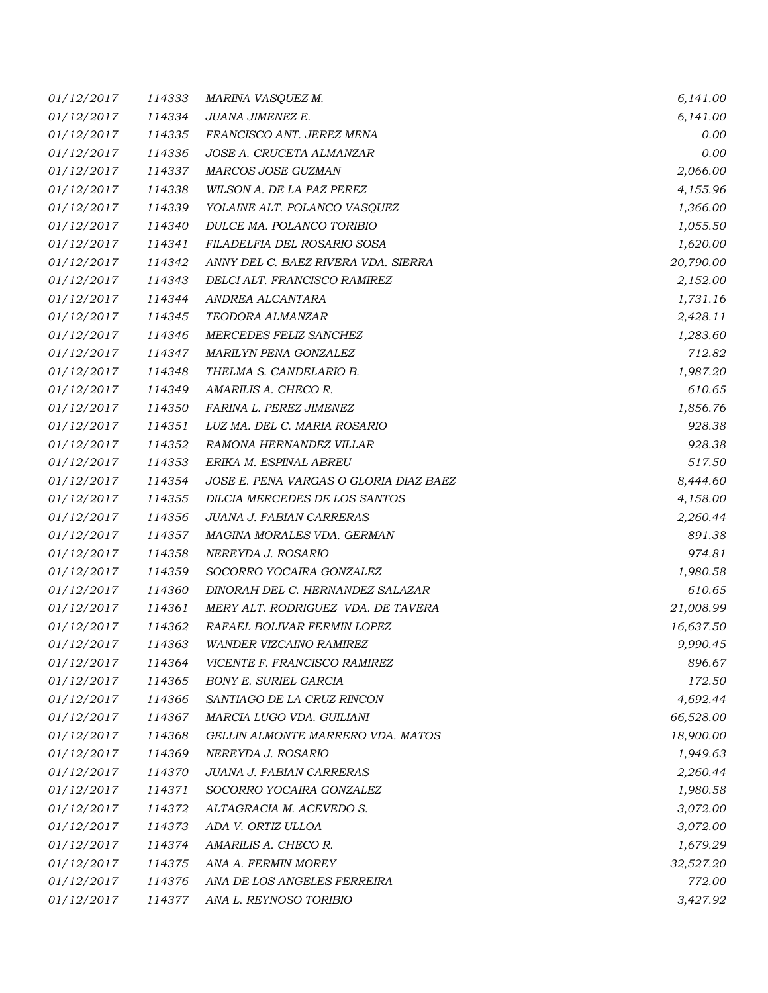| 01/12/2017        | 114333 | MARINA VASQUEZ M.                      | 6,141.00  |
|-------------------|--------|----------------------------------------|-----------|
| 01/12/2017        | 114334 | JUANA JIMENEZ E.                       | 6,141.00  |
| <i>01/12/2017</i> | 114335 | FRANCISCO ANT. JEREZ MENA              | 0.00      |
| 01/12/2017        | 114336 | JOSE A. CRUCETA ALMANZAR               | 0.00      |
| 01/12/2017        | 114337 | MARCOS JOSE GUZMAN                     | 2,066.00  |
| 01/12/2017        | 114338 | WILSON A. DE LA PAZ PEREZ              | 4,155.96  |
| 01/12/2017        | 114339 | YOLAINE ALT. POLANCO VASQUEZ           | 1,366.00  |
| 01/12/2017        | 114340 | DULCE MA. POLANCO TORIBIO              | 1,055.50  |
| 01/12/2017        | 114341 | FILADELFIA DEL ROSARIO SOSA            | 1,620.00  |
| <i>01/12/2017</i> | 114342 | ANNY DEL C. BAEZ RIVERA VDA. SIERRA    | 20,790.00 |
| <i>01/12/2017</i> | 114343 | DELCI ALT. FRANCISCO RAMIREZ           | 2,152.00  |
| <i>01/12/2017</i> | 114344 | ANDREA ALCANTARA                       | 1,731.16  |
| 01/12/2017        | 114345 | TEODORA ALMANZAR                       | 2,428.11  |
| <i>01/12/2017</i> | 114346 | MERCEDES FELIZ SANCHEZ                 | 1,283.60  |
| <i>01/12/2017</i> | 114347 | MARILYN PENA GONZALEZ                  | 712.82    |
| 01/12/2017        | 114348 | THELMA S. CANDELARIO B.                | 1,987.20  |
| 01/12/2017        | 114349 | AMARILIS A. CHECO R.                   | 610.65    |
| <i>01/12/2017</i> | 114350 | FARINA L. PEREZ JIMENEZ                | 1,856.76  |
| 01/12/2017        | 114351 | LUZ MA. DEL C. MARIA ROSARIO           | 928.38    |
| 01/12/2017        | 114352 | RAMONA HERNANDEZ VILLAR                | 928.38    |
| <i>01/12/2017</i> | 114353 | ERIKA M. ESPINAL ABREU                 | 517.50    |
| <i>01/12/2017</i> | 114354 | JOSE E. PENA VARGAS O GLORIA DIAZ BAEZ | 8,444.60  |
| 01/12/2017        | 114355 | DILCIA MERCEDES DE LOS SANTOS          | 4,158.00  |
| 01/12/2017        | 114356 | JUANA J. FABIAN CARRERAS               | 2,260.44  |
| 01/12/2017        | 114357 | MAGINA MORALES VDA. GERMAN             | 891.38    |
| 01/12/2017        | 114358 | NEREYDA J. ROSARIO                     | 974.81    |
| <i>01/12/2017</i> | 114359 | SOCORRO YOCAIRA GONZALEZ               | 1,980.58  |
| 01/12/2017        | 114360 | DINORAH DEL C. HERNANDEZ SALAZAR       | 610.65    |
| <i>01/12/2017</i> | 114361 | MERY ALT. RODRIGUEZ VDA. DE TAVERA     | 21,008.99 |
| 01/12/2017        | 114362 | RAFAEL BOLIVAR FERMIN LOPEZ            | 16,637.50 |
| 01/12/2017        | 114363 | <b>WANDER VIZCAINO RAMIREZ</b>         | 9,990.45  |
| 01/12/2017        | 114364 | VICENTE F. FRANCISCO RAMIREZ           | 896.67    |
| 01/12/2017        | 114365 | <b>BONY E. SURIEL GARCIA</b>           | 172.50    |
| 01/12/2017        | 114366 | SANTIAGO DE LA CRUZ RINCON             | 4,692.44  |
| 01/12/2017        | 114367 | MARCIA LUGO VDA. GUILIANI              | 66,528.00 |
| 01/12/2017        | 114368 | GELLIN ALMONTE MARRERO VDA. MATOS      | 18,900.00 |
| 01/12/2017        | 114369 | NEREYDA J. ROSARIO                     | 1,949.63  |
| 01/12/2017        | 114370 | JUANA J. FABIAN CARRERAS               | 2,260.44  |
| 01/12/2017        | 114371 | SOCORRO YOCAIRA GONZALEZ               | 1,980.58  |
| 01/12/2017        | 114372 | ALTAGRACIA M. ACEVEDO S.               | 3,072.00  |
| 01/12/2017        | 114373 | ADA V. ORTIZ ULLOA                     | 3,072.00  |
| 01/12/2017        | 114374 | AMARILIS A. CHECO R.                   | 1,679.29  |
| 01/12/2017        | 114375 | ANA A. FERMIN MOREY                    | 32,527.20 |
| 01/12/2017        | 114376 | ANA DE LOS ANGELES FERREIRA            | 772.00    |
| 01/12/2017        | 114377 | ANA L. REYNOSO TORIBIO                 | 3,427.92  |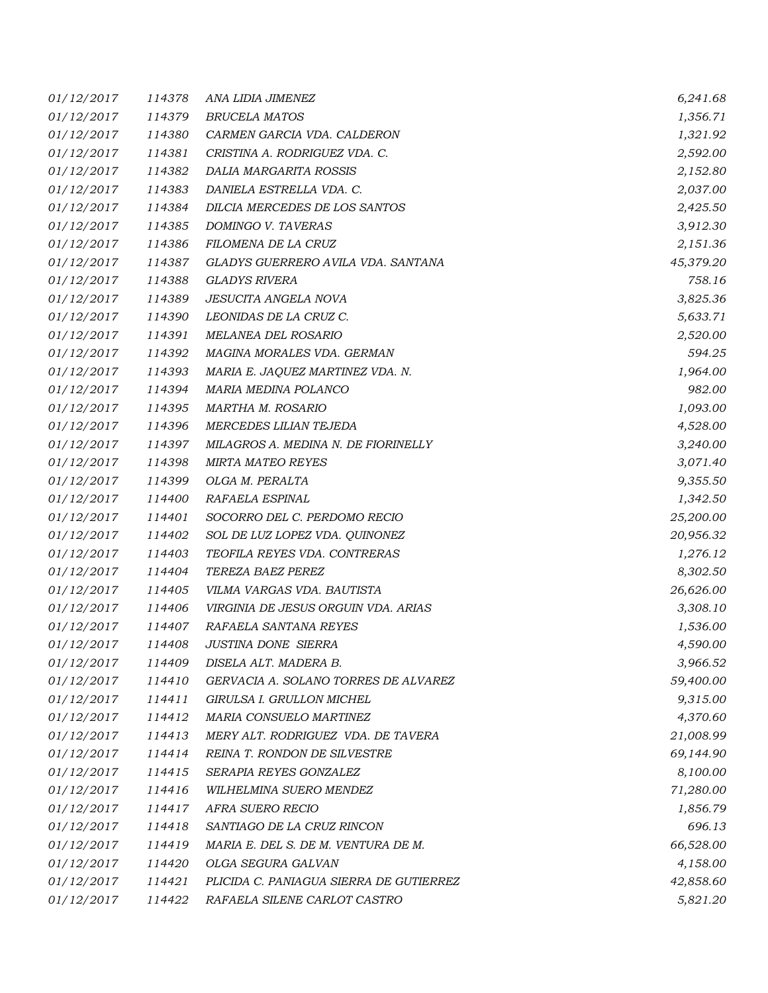| <i>01/12/2017</i> | 114378 | ANA LIDIA JIMENEZ                       | 6,241.68  |
|-------------------|--------|-----------------------------------------|-----------|
| 01/12/2017        | 114379 | <b>BRUCELA MATOS</b>                    | 1,356.71  |
| 01/12/2017        | 114380 | CARMEN GARCIA VDA. CALDERON             | 1,321.92  |
| 01/12/2017        | 114381 | CRISTINA A. RODRIGUEZ VDA. C.           | 2,592.00  |
| 01/12/2017        | 114382 | DALIA MARGARITA ROSSIS                  | 2,152.80  |
| 01/12/2017        | 114383 | DANIELA ESTRELLA VDA. C.                | 2,037.00  |
| 01/12/2017        | 114384 | DILCIA MERCEDES DE LOS SANTOS           | 2,425.50  |
| 01/12/2017        | 114385 | DOMINGO V. TAVERAS                      | 3,912.30  |
| 01/12/2017        | 114386 | FILOMENA DE LA CRUZ                     | 2,151.36  |
| <i>01/12/2017</i> | 114387 | GLADYS GUERRERO AVILA VDA. SANTANA      | 45,379.20 |
| 01/12/2017        | 114388 | GLADYS RIVERA                           | 758.16    |
| 01/12/2017        | 114389 | JESUCITA ANGELA NOVA                    | 3,825.36  |
| 01/12/2017        | 114390 | LEONIDAS DE LA CRUZ C.                  | 5,633.71  |
| 01/12/2017        | 114391 | MELANEA DEL ROSARIO                     | 2,520.00  |
| <i>01/12/2017</i> | 114392 | MAGINA MORALES VDA. GERMAN              | 594.25    |
| 01/12/2017        | 114393 | MARIA E. JAQUEZ MARTINEZ VDA. N.        | 1,964.00  |
| 01/12/2017        | 114394 | MARIA MEDINA POLANCO                    | 982.00    |
| <i>01/12/2017</i> | 114395 | MARTHA M. ROSARIO                       | 1,093.00  |
| <i>01/12/2017</i> | 114396 | MERCEDES LILIAN TEJEDA                  | 4,528.00  |
| 01/12/2017        | 114397 | MILAGROS A. MEDINA N. DE FIORINELLY     | 3,240.00  |
| 01/12/2017        | 114398 | <b>MIRTA MATEO REYES</b>                | 3,071.40  |
| <i>01/12/2017</i> | 114399 | OLGA M. PERALTA                         | 9,355.50  |
| 01/12/2017        | 114400 | RAFAELA ESPINAL                         | 1,342.50  |
| 01/12/2017        | 114401 | SOCORRO DEL C. PERDOMO RECIO            | 25,200.00 |
| <i>01/12/2017</i> | 114402 | SOL DE LUZ LOPEZ VDA. QUINONEZ          | 20,956.32 |
| 01/12/2017        | 114403 | TEOFILA REYES VDA. CONTRERAS            | 1,276.12  |
| 01/12/2017        | 114404 | TEREZA BAEZ PEREZ                       | 8,302.50  |
| 01/12/2017        | 114405 | VILMA VARGAS VDA. BAUTISTA              | 26,626.00 |
| <i>01/12/2017</i> | 114406 | VIRGINIA DE JESUS ORGUIN VDA. ARIAS     | 3,308.10  |
| 01/12/2017        | 114407 | RAFAELA SANTANA REYES                   | 1,536.00  |
| 01/12/2017        | 114408 | <b>JUSTINA DONE SIERRA</b>              | 4,590.00  |
| 01/12/2017        | 114409 | DISELA ALT. MADERA B.                   | 3,966.52  |
| 01/12/2017        | 114410 | GERVACIA A. SOLANO TORRES DE ALVAREZ    | 59,400.00 |
| 01/12/2017        | 114411 | GIRULSA I. GRULLON MICHEL               | 9,315.00  |
| 01/12/2017        | 114412 | MARIA CONSUELO MARTINEZ                 | 4,370.60  |
| 01/12/2017        | 114413 | MERY ALT. RODRIGUEZ VDA. DE TAVERA      | 21,008.99 |
| 01/12/2017        | 114414 | REINA T. RONDON DE SILVESTRE            | 69,144.90 |
| 01/12/2017        | 114415 | SERAPIA REYES GONZALEZ                  | 8,100.00  |
| 01/12/2017        | 114416 | WILHELMINA SUERO MENDEZ                 | 71,280.00 |
| 01/12/2017        | 114417 | AFRA SUERO RECIO                        | 1,856.79  |
| 01/12/2017        | 114418 | SANTIAGO DE LA CRUZ RINCON              | 696.13    |
| 01/12/2017        | 114419 | MARIA E. DEL S. DE M. VENTURA DE M.     | 66,528.00 |
| <i>01/12/2017</i> | 114420 | OLGA SEGURA GALVAN                      | 4,158.00  |
| 01/12/2017        | 114421 | PLICIDA C. PANIAGUA SIERRA DE GUTIERREZ | 42,858.60 |
| 01/12/2017        | 114422 | RAFAELA SILENE CARLOT CASTRO            | 5,821.20  |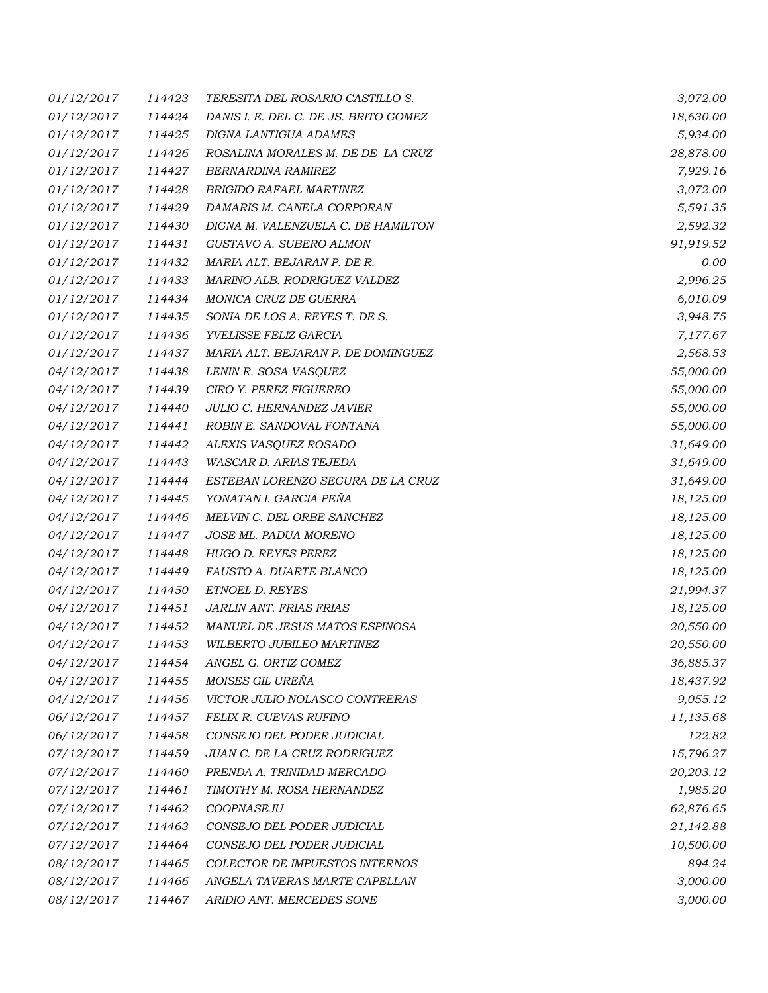| <i>01/12/2017</i> | 114423 | TERESITA DEL ROSARIO CASTILLO S.      | 3,072.00  |
|-------------------|--------|---------------------------------------|-----------|
| 01/12/2017        | 114424 | DANIS I. E. DEL C. DE JS. BRITO GOMEZ | 18,630.00 |
| <i>01/12/2017</i> | 114425 | DIGNA LANTIGUA ADAMES                 | 5,934.00  |
| 01/12/2017        | 114426 | ROSALINA MORALES M. DE DE LA CRUZ     | 28,878.00 |
| 01/12/2017        | 114427 | <b>BERNARDINA RAMIREZ</b>             | 7,929.16  |
| 01/12/2017        | 114428 | <b>BRIGIDO RAFAEL MARTINEZ</b>        | 3,072.00  |
| 01/12/2017        | 114429 | DAMARIS M. CANELA CORPORAN            | 5,591.35  |
| 01/12/2017        | 114430 | DIGNA M. VALENZUELA C. DE HAMILTON    | 2,592.32  |
| 01/12/2017        | 114431 | GUSTAVO A. SUBERO ALMON               | 91,919.52 |
| <i>01/12/2017</i> | 114432 | MARIA ALT. BEJARAN P. DE R.           | 0.00      |
| 01/12/2017        | 114433 | MARINO ALB. RODRIGUEZ VALDEZ          | 2,996.25  |
| 01/12/2017        | 114434 | MONICA CRUZ DE GUERRA                 | 6,010.09  |
| 01/12/2017        | 114435 | SONIA DE LOS A. REYES T. DE S.        | 3,948.75  |
| 01/12/2017        | 114436 | YVELISSE FELIZ GARCIA                 | 7,177.67  |
| <i>01/12/2017</i> | 114437 | MARIA ALT. BEJARAN P. DE DOMINGUEZ    | 2,568.53  |
| 04/12/2017        | 114438 | LENIN R. SOSA VASQUEZ                 | 55,000.00 |
| 04/12/2017        | 114439 | CIRO Y. PEREZ FIGUEREO                | 55,000.00 |
| 04/12/2017        | 114440 | JULIO C. HERNANDEZ JAVIER             | 55,000.00 |
| <i>04/12/2017</i> | 114441 | ROBIN E. SANDOVAL FONTANA             | 55,000.00 |
| 04/12/2017        | 114442 | ALEXIS VASQUEZ ROSADO                 | 31,649.00 |
| 04/12/2017        | 114443 | WASCAR D. ARIAS TEJEDA                | 31,649.00 |
| <i>04/12/2017</i> | 114444 | ESTEBAN LORENZO SEGURA DE LA CRUZ     | 31,649.00 |
| 04/12/2017        | 114445 | YONATAN I. GARCIA PEÑA                | 18,125.00 |
| 04/12/2017        | 114446 | MELVIN C. DEL ORBE SANCHEZ            | 18,125.00 |
| 04/12/2017        | 114447 | JOSE ML. PADUA MORENO                 | 18,125.00 |
| 04/12/2017        | 114448 | HUGO D. REYES PEREZ                   | 18,125.00 |
| 04/12/2017        | 114449 | FAUSTO A. DUARTE BLANCO               | 18,125.00 |
| 04/12/2017        | 114450 | ETNOEL D. REYES                       | 21,994.37 |
| <i>04/12/2017</i> | 114451 | JARLIN ANT. FRIAS FRIAS               | 18,125.00 |
| 04/12/2017        | 114452 | MANUEL DE JESUS MATOS ESPINOSA        | 20,550.00 |
| 04/12/2017        | 114453 | WILBERTO JUBILEO MARTINEZ             | 20,550.00 |
| 04/12/2017        | 114454 | ANGEL G. ORTIZ GOMEZ                  | 36,885.37 |
| 04/12/2017        | 114455 | MOISES GIL UREÑA                      | 18,437.92 |
| 04/12/2017        | 114456 | VICTOR JULIO NOLASCO CONTRERAS        | 9,055.12  |
| 06/12/2017        | 114457 | FELIX R. CUEVAS RUFINO                | 11,135.68 |
| 06/12/2017        | 114458 | CONSEJO DEL PODER JUDICIAL            | 122.82    |
| 07/12/2017        | 114459 | JUAN C. DE LA CRUZ RODRIGUEZ          | 15,796.27 |
| 07/12/2017        | 114460 | PRENDA A. TRINIDAD MERCADO            | 20,203.12 |
| 07/12/2017        | 114461 | TIMOTHY M. ROSA HERNANDEZ             | 1,985.20  |
| 07/12/2017        | 114462 | COOPNASEJU                            | 62,876.65 |
| 07/12/2017        | 114463 | CONSEJO DEL PODER JUDICIAL            | 21,142.88 |
| 07/12/2017        | 114464 | CONSEJO DEL PODER JUDICIAL            | 10,500.00 |
| 08/12/2017        | 114465 | COLECTOR DE IMPUESTOS INTERNOS        | 894.24    |
| 08/12/2017        | 114466 | ANGELA TAVERAS MARTE CAPELLAN         | 3,000.00  |
| 08/12/2017        | 114467 | ARIDIO ANT. MERCEDES SONE             | 3,000.00  |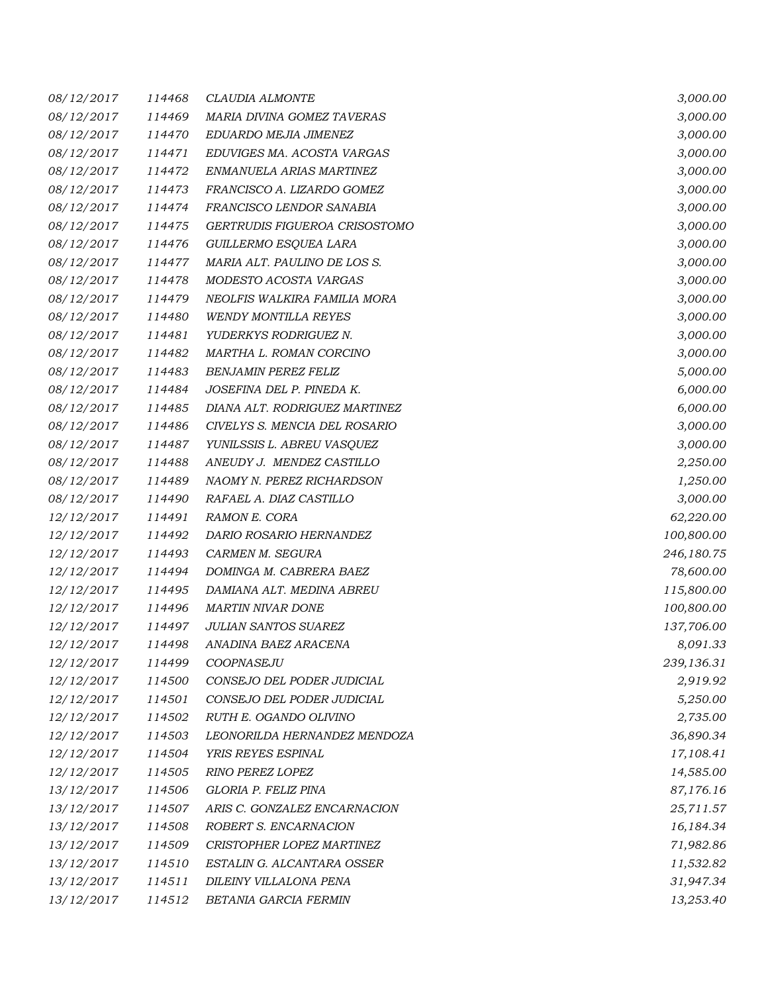| 08/12/2017        | 114468 | CLAUDIA ALMONTE               | 3,000.00   |
|-------------------|--------|-------------------------------|------------|
| 08/12/2017        | 114469 | MARIA DIVINA GOMEZ TAVERAS    | 3,000.00   |
| 08/12/2017        | 114470 | EDUARDO MEJIA JIMENEZ         | 3,000.00   |
| 08/12/2017        | 114471 | EDUVIGES MA. ACOSTA VARGAS    | 3,000.00   |
| 08/12/2017        | 114472 | ENMANUELA ARIAS MARTINEZ      | 3,000.00   |
| 08/12/2017        | 114473 | FRANCISCO A. LIZARDO GOMEZ    | 3,000.00   |
| 08/12/2017        | 114474 | FRANCISCO LENDOR SANABIA      | 3,000.00   |
| 08/12/2017        | 114475 | GERTRUDIS FIGUEROA CRISOSTOMO | 3,000.00   |
| 08/12/2017        | 114476 | GUILLERMO ESQUEA LARA         | 3,000.00   |
| 08/12/2017        | 114477 | MARIA ALT. PAULINO DE LOS S.  | 3,000.00   |
| 08/12/2017        | 114478 | MODESTO ACOSTA VARGAS         | 3,000.00   |
| 08/12/2017        | 114479 | NEOLFIS WALKIRA FAMILIA MORA  | 3,000.00   |
| 08/12/2017        | 114480 | <b>WENDY MONTILLA REYES</b>   | 3,000.00   |
| 08/12/2017        | 114481 | YUDERKYS RODRIGUEZ N.         | 3,000.00   |
| 08/12/2017        | 114482 | MARTHA L. ROMAN CORCINO       | 3,000.00   |
| 08/12/2017        | 114483 | <b>BENJAMIN PEREZ FELIZ</b>   | 5,000.00   |
| 08/12/2017        | 114484 | JOSEFINA DEL P. PINEDA K.     | 6,000.00   |
| 08/12/2017        | 114485 | DIANA ALT. RODRIGUEZ MARTINEZ | 6,000.00   |
| 08/12/2017        | 114486 | CIVELYS S. MENCIA DEL ROSARIO | 3,000.00   |
| 08/12/2017        | 114487 | YUNILSSIS L. ABREU VASQUEZ    | 3,000.00   |
| 08/12/2017        | 114488 | ANEUDY J. MENDEZ CASTILLO     | 2,250.00   |
| 08/12/2017        | 114489 | NAOMY N. PEREZ RICHARDSON     | 1,250.00   |
| 08/12/2017        | 114490 | RAFAEL A. DIAZ CASTILLO       | 3,000.00   |
| 12/12/2017        | 114491 | RAMON E. CORA                 | 62,220.00  |
| 12/12/2017        | 114492 | DARIO ROSARIO HERNANDEZ       | 100,800.00 |
| <i>12/12/2017</i> | 114493 | CARMEN M. SEGURA              | 246,180.75 |
| 12/12/2017        | 114494 | DOMINGA M. CABRERA BAEZ       | 78,600.00  |
| 12/12/2017        | 114495 | DAMIANA ALT. MEDINA ABREU     | 115,800.00 |
| 12/12/2017        | 114496 | <b>MARTIN NIVAR DONE</b>      | 100,800.00 |
| 12/12/2017        | 114497 | <b>JULIAN SANTOS SUAREZ</b>   | 137,706.00 |
| 12/12/2017        | 114498 | ANADINA BAEZ ARACENA          | 8,091.33   |
| <i>12/12/2017</i> | 114499 | COOPNASEJU                    | 239,136.31 |
| 12/12/2017        | 114500 | CONSEJO DEL PODER JUDICIAL    | 2,919.92   |
| 12/12/2017        | 114501 | CONSEJO DEL PODER JUDICIAL    | 5,250.00   |
| 12/12/2017        | 114502 | RUTH E. OGANDO OLIVINO        | 2,735.00   |
| 12/12/2017        | 114503 | LEONORILDA HERNANDEZ MENDOZA  | 36,890.34  |
| 12/12/2017        | 114504 | YRIS REYES ESPINAL            | 17,108.41  |
| 12/12/2017        | 114505 | RINO PEREZ LOPEZ              | 14,585.00  |
| 13/12/2017        | 114506 | GLORIA P. FELIZ PINA          | 87,176.16  |
| 13/12/2017        | 114507 | ARIS C. GONZALEZ ENCARNACION  | 25,711.57  |
| 13/12/2017        | 114508 | ROBERT S. ENCARNACION         | 16,184.34  |
| 13/12/2017        | 114509 | CRISTOPHER LOPEZ MARTINEZ     | 71,982.86  |
| 13/12/2017        | 114510 | ESTALIN G. ALCANTARA OSSER    | 11,532.82  |
| 13/12/2017        | 114511 | DILEINY VILLALONA PENA        | 31,947.34  |
| 13/12/2017        | 114512 | BETANIA GARCIA FERMIN         | 13,253.40  |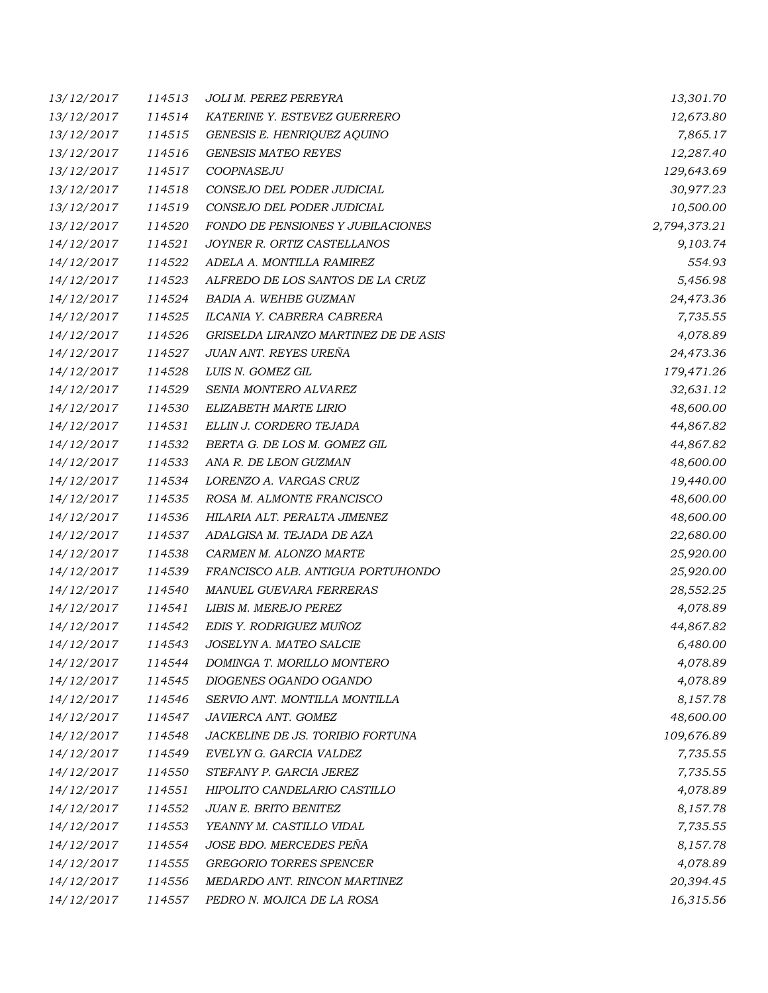| 13/12/2017 | 114513 | JOLI M. PEREZ PEREYRA                | 13,301.70    |
|------------|--------|--------------------------------------|--------------|
| 13/12/2017 | 114514 | KATERINE Y. ESTEVEZ GUERRERO         | 12,673.80    |
| 13/12/2017 | 114515 | GENESIS E. HENRIQUEZ AQUINO          | 7,865.17     |
| 13/12/2017 | 114516 | <b>GENESIS MATEO REYES</b>           | 12,287.40    |
| 13/12/2017 | 114517 | COOPNASEJU                           | 129,643.69   |
| 13/12/2017 | 114518 | CONSEJO DEL PODER JUDICIAL           | 30,977.23    |
| 13/12/2017 | 114519 | CONSEJO DEL PODER JUDICIAL           | 10,500.00    |
| 13/12/2017 | 114520 | FONDO DE PENSIONES Y JUBILACIONES    | 2,794,373.21 |
| 14/12/2017 | 114521 | JOYNER R. ORTIZ CASTELLANOS          | 9,103.74     |
| 14/12/2017 | 114522 | ADELA A. MONTILLA RAMIREZ            | 554.93       |
| 14/12/2017 | 114523 | ALFREDO DE LOS SANTOS DE LA CRUZ     | 5,456.98     |
| 14/12/2017 | 114524 | BADIA A. WEHBE GUZMAN                | 24,473.36    |
| 14/12/2017 | 114525 | ILCANIA Y. CABRERA CABRERA           | 7,735.55     |
| 14/12/2017 | 114526 | GRISELDA LIRANZO MARTINEZ DE DE ASIS | 4,078.89     |
| 14/12/2017 | 114527 | JUAN ANT. REYES UREÑA                | 24,473.36    |
| 14/12/2017 | 114528 | LUIS N. GOMEZ GIL                    | 179,471.26   |
| 14/12/2017 | 114529 | SENIA MONTERO ALVAREZ                | 32,631.12    |
| 14/12/2017 | 114530 | ELIZABETH MARTE LIRIO                | 48,600.00    |
| 14/12/2017 | 114531 | ELLIN J. CORDERO TEJADA              | 44,867.82    |
| 14/12/2017 | 114532 | BERTA G. DE LOS M. GOMEZ GIL         | 44,867.82    |
| 14/12/2017 | 114533 | ANA R. DE LEON GUZMAN                | 48,600.00    |
| 14/12/2017 | 114534 | LORENZO A. VARGAS CRUZ               | 19,440.00    |
| 14/12/2017 | 114535 | ROSA M. ALMONTE FRANCISCO            | 48,600.00    |
| 14/12/2017 | 114536 | HILARIA ALT. PERALTA JIMENEZ         | 48,600.00    |
| 14/12/2017 | 114537 | ADALGISA M. TEJADA DE AZA            | 22,680.00    |
| 14/12/2017 | 114538 | CARMEN M. ALONZO MARTE               | 25,920.00    |
| 14/12/2017 | 114539 | FRANCISCO ALB. ANTIGUA PORTUHONDO    | 25,920.00    |
| 14/12/2017 | 114540 | MANUEL GUEVARA FERRERAS              | 28,552.25    |
| 14/12/2017 | 114541 | LIBIS M. MEREJO PEREZ                | 4,078.89     |
| 14/12/2017 | 114542 | EDIS Y. RODRIGUEZ MUÑOZ              | 44,867.82    |
| 14/12/2017 | 114543 | JOSELYN A. MATEO SALCIE              | 6,480.00     |
| 14/12/2017 | 114544 | DOMINGA T. MORILLO MONTERO           | 4,078.89     |
| 14/12/2017 | 114545 | DIOGENES OGANDO OGANDO               | 4,078.89     |
| 14/12/2017 | 114546 | SERVIO ANT. MONTILLA MONTILLA        | 8,157.78     |
| 14/12/2017 | 114547 | JAVIERCA ANT. GOMEZ                  | 48,600.00    |
| 14/12/2017 | 114548 | JACKELINE DE JS. TORIBIO FORTUNA     | 109,676.89   |
| 14/12/2017 | 114549 | EVELYN G. GARCIA VALDEZ              | 7,735.55     |
| 14/12/2017 | 114550 | STEFANY P. GARCIA JEREZ              | 7,735.55     |
| 14/12/2017 | 114551 | HIPOLITO CANDELARIO CASTILLO         | 4,078.89     |
| 14/12/2017 | 114552 | JUAN E. BRITO BENITEZ                | 8,157.78     |
| 14/12/2017 | 114553 | YEANNY M. CASTILLO VIDAL             | 7,735.55     |
| 14/12/2017 | 114554 | JOSE BDO. MERCEDES PEÑA              | 8,157.78     |
| 14/12/2017 | 114555 | GREGORIO TORRES SPENCER              | 4,078.89     |
| 14/12/2017 | 114556 | MEDARDO ANT. RINCON MARTINEZ         | 20,394.45    |
| 14/12/2017 | 114557 | PEDRO N. MOJICA DE LA ROSA           | 16,315.56    |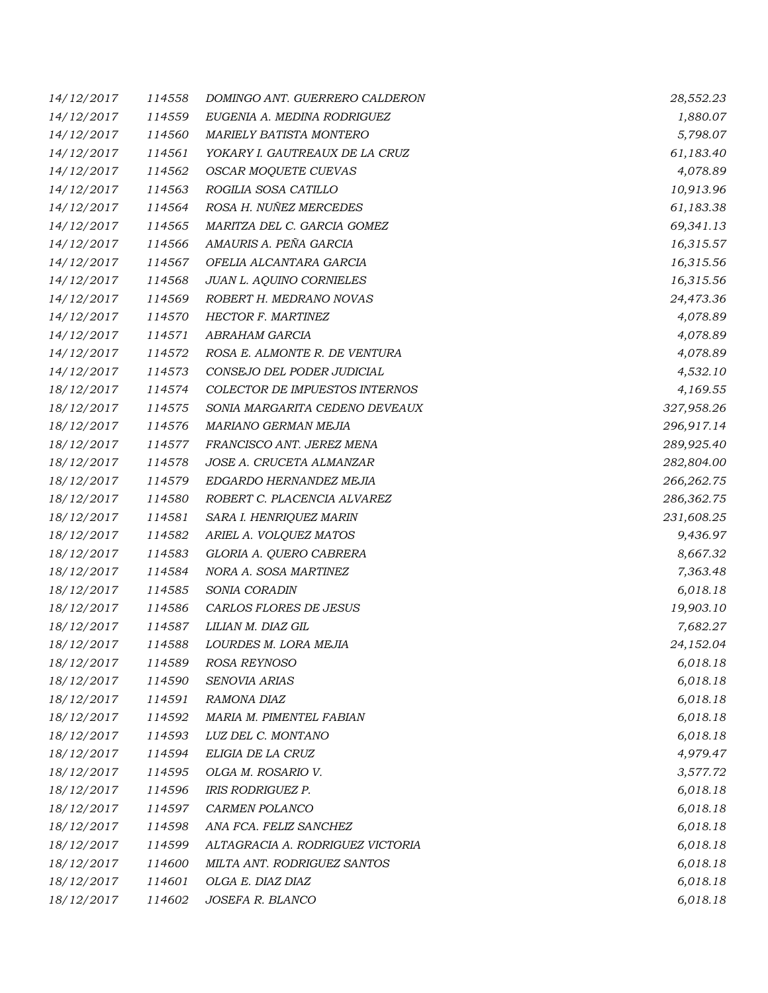| 14/12/2017 | 114558 | DOMINGO ANT. GUERRERO CALDERON   | 28,552.23  |
|------------|--------|----------------------------------|------------|
| 14/12/2017 | 114559 | EUGENIA A. MEDINA RODRIGUEZ      | 1,880.07   |
| 14/12/2017 | 114560 | <b>MARIELY BATISTA MONTERO</b>   | 5,798.07   |
| 14/12/2017 | 114561 | YOKARY I. GAUTREAUX DE LA CRUZ   | 61,183.40  |
| 14/12/2017 | 114562 | OSCAR MOQUETE CUEVAS             | 4,078.89   |
| 14/12/2017 | 114563 | ROGILIA SOSA CATILLO             | 10,913.96  |
| 14/12/2017 | 114564 | ROSA H. NUÑEZ MERCEDES           | 61,183.38  |
| 14/12/2017 | 114565 | MARITZA DEL C. GARCIA GOMEZ      | 69,341.13  |
| 14/12/2017 | 114566 | AMAURIS A. PEÑA GARCIA           | 16,315.57  |
| 14/12/2017 | 114567 | OFELIA ALCANTARA GARCIA          | 16,315.56  |
| 14/12/2017 | 114568 | JUAN L. AQUINO CORNIELES         | 16,315.56  |
| 14/12/2017 | 114569 | ROBERT H. MEDRANO NOVAS          | 24,473.36  |
| 14/12/2017 | 114570 | HECTOR F. MARTINEZ               | 4,078.89   |
| 14/12/2017 | 114571 | ABRAHAM GARCIA                   | 4,078.89   |
| 14/12/2017 | 114572 | ROSA E. ALMONTE R. DE VENTURA    | 4,078.89   |
| 14/12/2017 | 114573 | CONSEJO DEL PODER JUDICIAL       | 4,532.10   |
| 18/12/2017 | 114574 | COLECTOR DE IMPUESTOS INTERNOS   | 4,169.55   |
| 18/12/2017 | 114575 | SONIA MARGARITA CEDENO DEVEAUX   | 327,958.26 |
| 18/12/2017 | 114576 | MARIANO GERMAN MEJIA             | 296,917.14 |
| 18/12/2017 | 114577 | FRANCISCO ANT. JEREZ MENA        | 289,925.40 |
| 18/12/2017 | 114578 | JOSE A. CRUCETA ALMANZAR         | 282,804.00 |
| 18/12/2017 | 114579 | EDGARDO HERNANDEZ MEJIA          | 266,262.75 |
| 18/12/2017 | 114580 | ROBERT C. PLACENCIA ALVAREZ      | 286,362.75 |
| 18/12/2017 | 114581 | SARA I. HENRIQUEZ MARIN          | 231,608.25 |
| 18/12/2017 | 114582 | ARIEL A. VOLQUEZ MATOS           | 9,436.97   |
| 18/12/2017 | 114583 | GLORIA A. QUERO CABRERA          | 8,667.32   |
| 18/12/2017 | 114584 | NORA A. SOSA MARTINEZ            | 7,363.48   |
| 18/12/2017 | 114585 | SONIA CORADIN                    | 6,018.18   |
| 18/12/2017 | 114586 | CARLOS FLORES DE JESUS           | 19,903.10  |
| 18/12/2017 | 114587 | LILIAN M. DIAZ GIL               | 7,682.27   |
| 18/12/2017 | 114588 | LOURDES M. LORA MEJIA            | 24,152.04  |
| 18/12/2017 | 114589 | ROSA REYNOSO                     | 6,018.18   |
| 18/12/2017 | 114590 | SENOVIA ARIAS                    | 6,018.18   |
| 18/12/2017 | 114591 | RAMONA DIAZ                      | 6,018.18   |
| 18/12/2017 | 114592 | MARIA M. PIMENTEL FABIAN         | 6,018.18   |
| 18/12/2017 | 114593 | LUZ DEL C. MONTANO               | 6,018.18   |
| 18/12/2017 | 114594 | ELIGIA DE LA CRUZ                | 4,979.47   |
| 18/12/2017 | 114595 | OLGA M. ROSARIO V.               | 3,577.72   |
| 18/12/2017 | 114596 | IRIS RODRIGUEZ P.                | 6,018.18   |
| 18/12/2017 | 114597 | CARMEN POLANCO                   | 6,018.18   |
| 18/12/2017 | 114598 | ANA FCA. FELIZ SANCHEZ           | 6,018.18   |
| 18/12/2017 | 114599 | ALTAGRACIA A. RODRIGUEZ VICTORIA | 6,018.18   |
| 18/12/2017 | 114600 | MILTA ANT. RODRIGUEZ SANTOS      | 6,018.18   |
| 18/12/2017 | 114601 | OLGA E. DIAZ DIAZ                | 6,018.18   |
| 18/12/2017 | 114602 | JOSEFA R. BLANCO                 | 6,018.18   |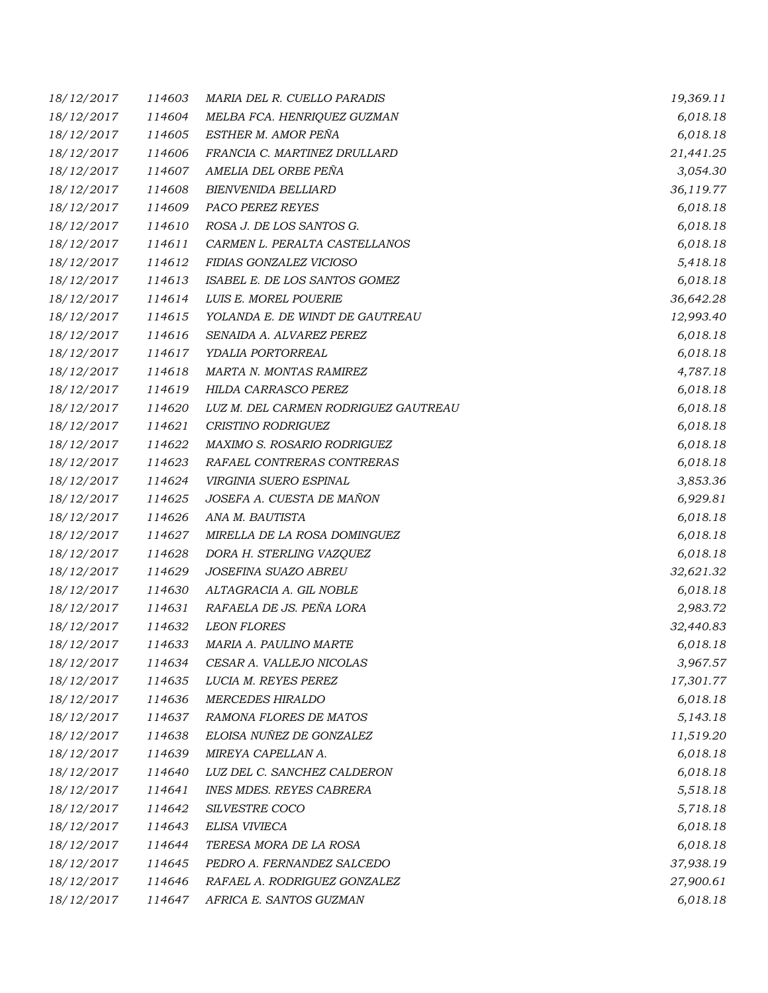| 18/12/2017 | 114603 | MARIA DEL R. CUELLO PARADIS          | 19,369.11 |
|------------|--------|--------------------------------------|-----------|
| 18/12/2017 | 114604 | MELBA FCA. HENRIQUEZ GUZMAN          | 6,018.18  |
| 18/12/2017 | 114605 | ESTHER M. AMOR PEÑA                  | 6,018.18  |
| 18/12/2017 | 114606 | FRANCIA C. MARTINEZ DRULLARD         | 21,441.25 |
| 18/12/2017 | 114607 | AMELIA DEL ORBE PEÑA                 | 3,054.30  |
| 18/12/2017 | 114608 | <b>BIENVENIDA BELLIARD</b>           | 36,119.77 |
| 18/12/2017 | 114609 | PACO PEREZ REYES                     | 6,018.18  |
| 18/12/2017 | 114610 | ROSA J. DE LOS SANTOS G.             | 6,018.18  |
| 18/12/2017 | 114611 | CARMEN L. PERALTA CASTELLANOS        | 6,018.18  |
| 18/12/2017 | 114612 | FIDIAS GONZALEZ VICIOSO              | 5,418.18  |
| 18/12/2017 | 114613 | ISABEL E. DE LOS SANTOS GOMEZ        | 6,018.18  |
| 18/12/2017 | 114614 | LUIS E. MOREL POUERIE                | 36,642.28 |
| 18/12/2017 | 114615 | YOLANDA E. DE WINDT DE GAUTREAU      | 12,993.40 |
| 18/12/2017 | 114616 | SENAIDA A. ALVAREZ PEREZ             | 6,018.18  |
| 18/12/2017 | 114617 | YDALIA PORTORREAL                    | 6,018.18  |
| 18/12/2017 | 114618 | MARTA N. MONTAS RAMIREZ              | 4,787.18  |
| 18/12/2017 | 114619 | HILDA CARRASCO PEREZ                 | 6,018.18  |
| 18/12/2017 | 114620 | LUZ M. DEL CARMEN RODRIGUEZ GAUTREAU | 6,018.18  |
| 18/12/2017 | 114621 | CRISTINO RODRIGUEZ                   | 6,018.18  |
| 18/12/2017 | 114622 | MAXIMO S. ROSARIO RODRIGUEZ          | 6,018.18  |
| 18/12/2017 | 114623 | RAFAEL CONTRERAS CONTRERAS           | 6,018.18  |
| 18/12/2017 | 114624 | VIRGINIA SUERO ESPINAL               | 3,853.36  |
| 18/12/2017 | 114625 | JOSEFA A. CUESTA DE MAÑON            | 6,929.81  |
| 18/12/2017 | 114626 | ANA M. BAUTISTA                      | 6,018.18  |
| 18/12/2017 | 114627 | MIRELLA DE LA ROSA DOMINGUEZ         | 6,018.18  |
| 18/12/2017 | 114628 | DORA H. STERLING VAZQUEZ             | 6,018.18  |
| 18/12/2017 | 114629 | JOSEFINA SUAZO ABREU                 | 32,621.32 |
| 18/12/2017 | 114630 | ALTAGRACIA A. GIL NOBLE              | 6,018.18  |
| 18/12/2017 | 114631 | RAFAELA DE JS. PEÑA LORA             | 2,983.72  |
| 18/12/2017 | 114632 | <b>LEON FLORES</b>                   | 32,440.83 |
| 18/12/2017 | 114633 | MARIA A. PAULINO MARTE               | 6,018.18  |
| 18/12/2017 | 114634 | CESAR A. VALLEJO NICOLAS             | 3,967.57  |
| 18/12/2017 | 114635 | LUCIA M. REYES PEREZ                 | 17,301.77 |
| 18/12/2017 | 114636 | <b>MERCEDES HIRALDO</b>              | 6,018.18  |
| 18/12/2017 | 114637 | RAMONA FLORES DE MATOS               | 5,143.18  |
| 18/12/2017 | 114638 | ELOISA NUÑEZ DE GONZALEZ             | 11,519.20 |
| 18/12/2017 | 114639 | MIREYA CAPELLAN A.                   | 6,018.18  |
| 18/12/2017 | 114640 | LUZ DEL C. SANCHEZ CALDERON          | 6,018.18  |
| 18/12/2017 | 114641 | <b>INES MDES. REYES CABRERA</b>      | 5,518.18  |
| 18/12/2017 | 114642 | SILVESTRE COCO                       | 5,718.18  |
| 18/12/2017 | 114643 | ELISA VIVIECA                        | 6,018.18  |
| 18/12/2017 | 114644 | TERESA MORA DE LA ROSA               | 6,018.18  |
| 18/12/2017 | 114645 | PEDRO A. FERNANDEZ SALCEDO           | 37,938.19 |
| 18/12/2017 | 114646 | RAFAEL A. RODRIGUEZ GONZALEZ         | 27,900.61 |
| 18/12/2017 | 114647 | AFRICA E. SANTOS GUZMAN              | 6,018.18  |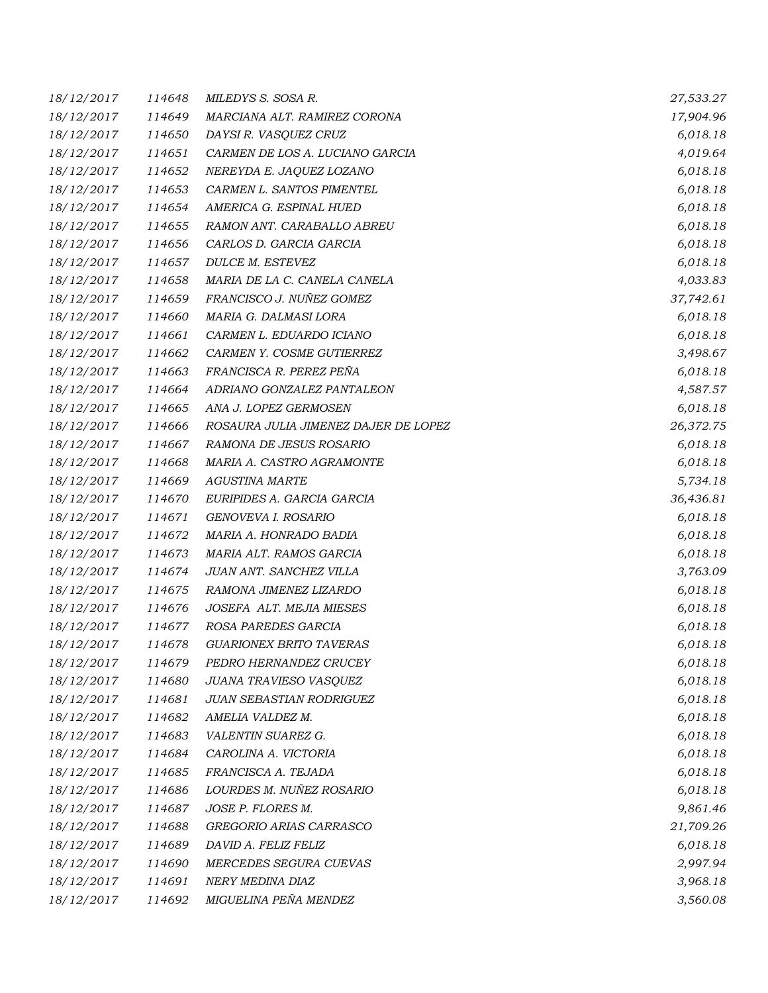| 18/12/2017 | 114648 | MILEDYS S. SOSA R.                   | 27,533.27 |
|------------|--------|--------------------------------------|-----------|
| 18/12/2017 | 114649 | MARCIANA ALT. RAMIREZ CORONA         | 17,904.96 |
| 18/12/2017 | 114650 | DAYSI R. VASQUEZ CRUZ                | 6,018.18  |
| 18/12/2017 | 114651 | CARMEN DE LOS A. LUCIANO GARCIA      | 4,019.64  |
| 18/12/2017 | 114652 | NEREYDA E. JAQUEZ LOZANO             | 6,018.18  |
| 18/12/2017 | 114653 | CARMEN L. SANTOS PIMENTEL            | 6,018.18  |
| 18/12/2017 | 114654 | AMERICA G. ESPINAL HUED              | 6,018.18  |
| 18/12/2017 | 114655 | RAMON ANT. CARABALLO ABREU           | 6,018.18  |
| 18/12/2017 | 114656 | CARLOS D. GARCIA GARCIA              | 6,018.18  |
| 18/12/2017 | 114657 | DULCE M. ESTEVEZ                     | 6,018.18  |
| 18/12/2017 | 114658 | MARIA DE LA C. CANELA CANELA         | 4,033.83  |
| 18/12/2017 | 114659 | FRANCISCO J. NUÑEZ GOMEZ             | 37,742.61 |
| 18/12/2017 | 114660 | MARIA G. DALMASI LORA                | 6,018.18  |
| 18/12/2017 | 114661 | CARMEN L. EDUARDO ICIANO             | 6,018.18  |
| 18/12/2017 | 114662 | CARMEN Y. COSME GUTIERREZ            | 3,498.67  |
| 18/12/2017 | 114663 | FRANCISCA R. PEREZ PEÑA              | 6,018.18  |
| 18/12/2017 | 114664 | ADRIANO GONZALEZ PANTALEON           | 4,587.57  |
| 18/12/2017 | 114665 | ANA J. LOPEZ GERMOSEN                | 6,018.18  |
| 18/12/2017 | 114666 | ROSAURA JULIA JIMENEZ DAJER DE LOPEZ | 26,372.75 |
| 18/12/2017 | 114667 | RAMONA DE JESUS ROSARIO              | 6,018.18  |
| 18/12/2017 | 114668 | MARIA A. CASTRO AGRAMONTE            | 6,018.18  |
| 18/12/2017 | 114669 | AGUSTINA MARTE                       | 5,734.18  |
| 18/12/2017 | 114670 | EURIPIDES A. GARCIA GARCIA           | 36,436.81 |
| 18/12/2017 | 114671 | GENOVEVA I. ROSARIO                  | 6,018.18  |
| 18/12/2017 | 114672 | MARIA A. HONRADO BADIA               | 6,018.18  |
| 18/12/2017 | 114673 | MARIA ALT. RAMOS GARCIA              | 6,018.18  |
| 18/12/2017 | 114674 | JUAN ANT. SANCHEZ VILLA              | 3,763.09  |
| 18/12/2017 | 114675 | RAMONA JIMENEZ LIZARDO               | 6,018.18  |
| 18/12/2017 | 114676 | JOSEFA ALT. MEJIA MIESES             | 6,018.18  |
| 18/12/2017 | 114677 | ROSA PAREDES GARCIA                  | 6,018.18  |
| 18/12/2017 | 114678 | <b>GUARIONEX BRITO TAVERAS</b>       | 6,018.18  |
| 18/12/2017 | 114679 | PEDRO HERNANDEZ CRUCEY               | 6,018.18  |
| 18/12/2017 | 114680 | JUANA TRAVIESO VASQUEZ               | 6,018.18  |
| 18/12/2017 | 114681 | JUAN SEBASTIAN RODRIGUEZ             | 6,018.18  |
| 18/12/2017 | 114682 | AMELIA VALDEZ M.                     | 6,018.18  |
| 18/12/2017 | 114683 | VALENTIN SUAREZ G.                   | 6,018.18  |
| 18/12/2017 | 114684 | CAROLINA A. VICTORIA                 | 6,018.18  |
| 18/12/2017 | 114685 | FRANCISCA A. TEJADA                  | 6,018.18  |
| 18/12/2017 | 114686 | LOURDES M. NUÑEZ ROSARIO             | 6,018.18  |
| 18/12/2017 | 114687 | JOSE P. FLORES M.                    | 9,861.46  |
| 18/12/2017 | 114688 | GREGORIO ARIAS CARRASCO              | 21,709.26 |
| 18/12/2017 | 114689 | DAVID A. FELIZ FELIZ                 | 6,018.18  |
| 18/12/2017 | 114690 | MERCEDES SEGURA CUEVAS               | 2,997.94  |
| 18/12/2017 | 114691 | NERY MEDINA DIAZ                     | 3,968.18  |
| 18/12/2017 | 114692 | MIGUELINA PEÑA MENDEZ                | 3,560.08  |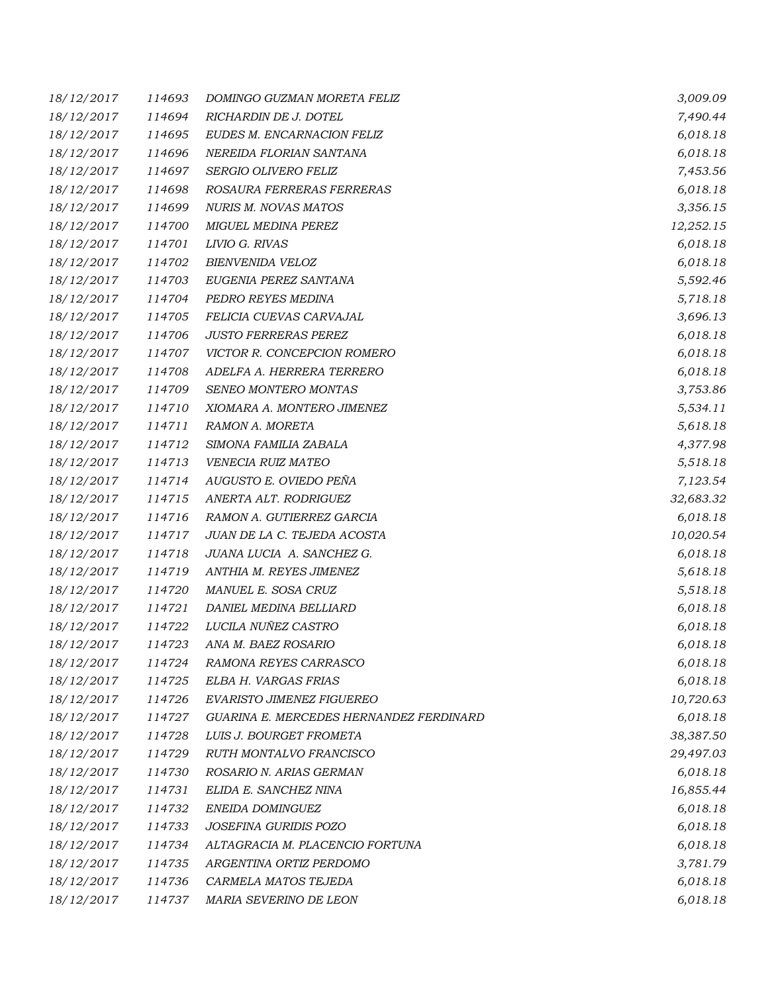| 18/12/2017 | 114693 | DOMINGO GUZMAN MORETA FELIZ             | 3,009.09  |
|------------|--------|-----------------------------------------|-----------|
| 18/12/2017 | 114694 | RICHARDIN DE J. DOTEL                   | 7,490.44  |
| 18/12/2017 | 114695 | EUDES M. ENCARNACION FELIZ              | 6,018.18  |
| 18/12/2017 | 114696 | NEREIDA FLORIAN SANTANA                 | 6,018.18  |
| 18/12/2017 | 114697 | SERGIO OLIVERO FELIZ                    | 7,453.56  |
| 18/12/2017 | 114698 | ROSAURA FERRERAS FERRERAS               | 6,018.18  |
| 18/12/2017 | 114699 | NURIS M. NOVAS MATOS                    | 3,356.15  |
| 18/12/2017 | 114700 | <b>MIGUEL MEDINA PEREZ</b>              | 12,252.15 |
| 18/12/2017 | 114701 | LIVIO G. RIVAS                          | 6,018.18  |
| 18/12/2017 | 114702 | BIENVENIDA VELOZ                        | 6,018.18  |
| 18/12/2017 | 114703 | EUGENIA PEREZ SANTANA                   | 5,592.46  |
| 18/12/2017 | 114704 | PEDRO REYES MEDINA                      | 5,718.18  |
| 18/12/2017 | 114705 | FELICIA CUEVAS CARVAJAL                 | 3,696.13  |
| 18/12/2017 | 114706 | <b>JUSTO FERRERAS PEREZ</b>             | 6,018.18  |
| 18/12/2017 | 114707 | VICTOR R. CONCEPCION ROMERO             | 6,018.18  |
| 18/12/2017 | 114708 | ADELFA A. HERRERA TERRERO               | 6,018.18  |
| 18/12/2017 | 114709 | SENEO MONTERO MONTAS                    | 3,753.86  |
| 18/12/2017 | 114710 | XIOMARA A. MONTERO JIMENEZ              | 5,534.11  |
| 18/12/2017 | 114711 | RAMON A. MORETA                         | 5,618.18  |
| 18/12/2017 | 114712 | SIMONA FAMILIA ZABALA                   | 4,377.98  |
| 18/12/2017 | 114713 | VENECIA RUIZ MATEO                      | 5,518.18  |
| 18/12/2017 | 114714 | AUGUSTO E. OVIEDO PEÑA                  | 7,123.54  |
| 18/12/2017 | 114715 | ANERTA ALT. RODRIGUEZ                   | 32,683.32 |
| 18/12/2017 | 114716 | RAMON A. GUTIERREZ GARCIA               | 6,018.18  |
| 18/12/2017 | 114717 | JUAN DE LA C. TEJEDA ACOSTA             | 10,020.54 |
| 18/12/2017 | 114718 | JUANA LUCIA A. SANCHEZ G.               | 6,018.18  |
| 18/12/2017 | 114719 | ANTHIA M. REYES JIMENEZ                 | 5,618.18  |
| 18/12/2017 | 114720 | MANUEL E. SOSA CRUZ                     | 5,518.18  |
| 18/12/2017 | 114721 | DANIEL MEDINA BELLIARD                  | 6,018.18  |
| 18/12/2017 | 114722 | LUCILA NUÑEZ CASTRO                     | 6,018.18  |
| 18/12/2017 | 114723 | ANA M. BAEZ ROSARIO                     | 6,018.18  |
| 18/12/2017 | 114724 | RAMONA REYES CARRASCO                   | 6,018.18  |
| 18/12/2017 | 114725 | ELBA H. VARGAS FRIAS                    | 6,018.18  |
| 18/12/2017 | 114726 | EVARISTO JIMENEZ FIGUEREO               | 10,720.63 |
| 18/12/2017 | 114727 | GUARINA E. MERCEDES HERNANDEZ FERDINARD | 6,018.18  |
| 18/12/2017 | 114728 | LUIS J. BOURGET FROMETA                 | 38,387.50 |
| 18/12/2017 | 114729 | RUTH MONTALVO FRANCISCO                 | 29,497.03 |
| 18/12/2017 | 114730 | ROSARIO N. ARIAS GERMAN                 | 6,018.18  |
| 18/12/2017 | 114731 | ELIDA E. SANCHEZ NINA                   | 16,855.44 |
| 18/12/2017 | 114732 | ENEIDA DOMINGUEZ                        | 6,018.18  |
| 18/12/2017 | 114733 | JOSEFINA GURIDIS POZO                   | 6,018.18  |
| 18/12/2017 | 114734 | ALTAGRACIA M. PLACENCIO FORTUNA         | 6,018.18  |
| 18/12/2017 | 114735 | ARGENTINA ORTIZ PERDOMO                 | 3,781.79  |
| 18/12/2017 | 114736 | CARMELA MATOS TEJEDA                    | 6,018.18  |
| 18/12/2017 | 114737 | MARIA SEVERINO DE LEON                  | 6,018.18  |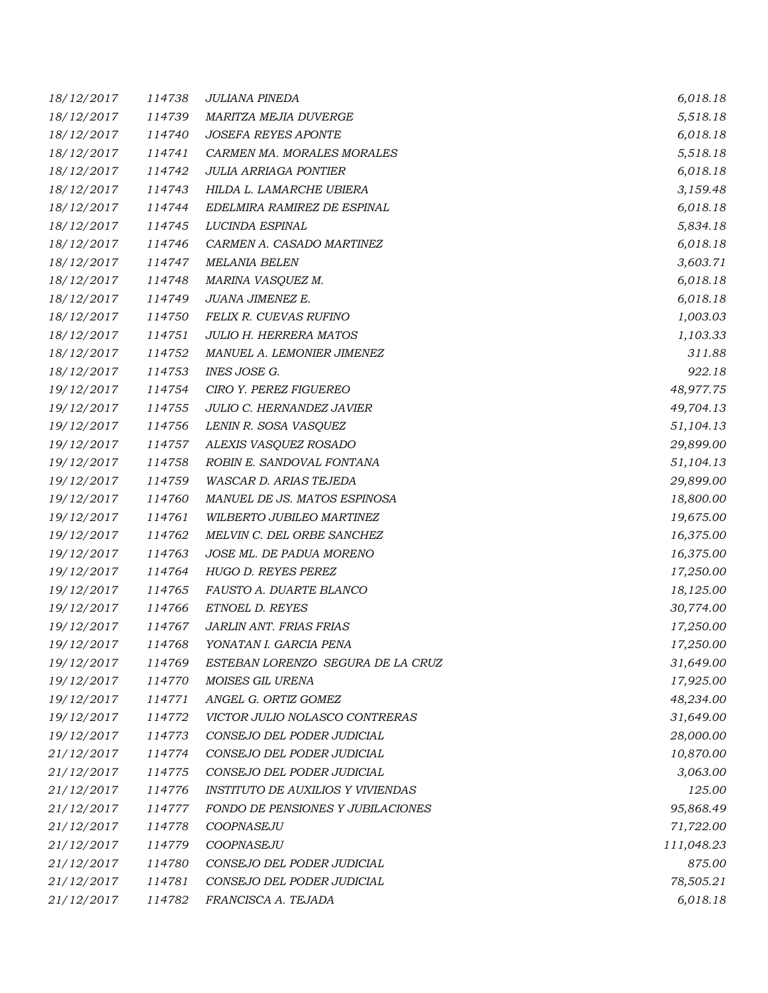| 18/12/2017 | 114738 | <b>JULIANA PINEDA</b>                    | 6,018.18   |
|------------|--------|------------------------------------------|------------|
| 18/12/2017 | 114739 | MARITZA MEJIA DUVERGE                    | 5,518.18   |
| 18/12/2017 | 114740 | <b>JOSEFA REYES APONTE</b>               | 6,018.18   |
| 18/12/2017 | 114741 | CARMEN MA. MORALES MORALES               | 5,518.18   |
| 18/12/2017 | 114742 | <b>JULIA ARRIAGA PONTIER</b>             | 6,018.18   |
| 18/12/2017 | 114743 | HILDA L. LAMARCHE UBIERA                 | 3,159.48   |
| 18/12/2017 | 114744 | EDELMIRA RAMIREZ DE ESPINAL              | 6,018.18   |
| 18/12/2017 | 114745 | LUCINDA ESPINAL                          | 5,834.18   |
| 18/12/2017 | 114746 | CARMEN A. CASADO MARTINEZ                | 6,018.18   |
| 18/12/2017 | 114747 | <b>MELANIA BELEN</b>                     | 3,603.71   |
| 18/12/2017 | 114748 | MARINA VASQUEZ M.                        | 6,018.18   |
| 18/12/2017 | 114749 | JUANA JIMENEZ E.                         | 6,018.18   |
| 18/12/2017 | 114750 | FELIX R. CUEVAS RUFINO                   | 1,003.03   |
| 18/12/2017 | 114751 | <b>JULIO H. HERRERA MATOS</b>            | 1,103.33   |
| 18/12/2017 | 114752 | MANUEL A. LEMONIER JIMENEZ               | 311.88     |
| 18/12/2017 | 114753 | INES JOSE G.                             | 922.18     |
| 19/12/2017 | 114754 | CIRO Y. PEREZ FIGUEREO                   | 48,977.75  |
| 19/12/2017 | 114755 | JULIO C. HERNANDEZ JAVIER                | 49,704.13  |
| 19/12/2017 | 114756 | LENIN R. SOSA VASQUEZ                    | 51,104.13  |
| 19/12/2017 | 114757 | ALEXIS VASQUEZ ROSADO                    | 29,899.00  |
| 19/12/2017 | 114758 | ROBIN E. SANDOVAL FONTANA                | 51,104.13  |
| 19/12/2017 | 114759 | WASCAR D. ARIAS TEJEDA                   | 29,899.00  |
| 19/12/2017 | 114760 | MANUEL DE JS. MATOS ESPINOSA             | 18,800.00  |
| 19/12/2017 | 114761 | WILBERTO JUBILEO MARTINEZ                | 19,675.00  |
| 19/12/2017 | 114762 | MELVIN C. DEL ORBE SANCHEZ               | 16,375.00  |
| 19/12/2017 | 114763 | JOSE ML. DE PADUA MORENO                 | 16,375.00  |
| 19/12/2017 | 114764 | HUGO D. REYES PEREZ                      | 17,250.00  |
| 19/12/2017 | 114765 | FAUSTO A. DUARTE BLANCO                  | 18,125.00  |
| 19/12/2017 | 114766 | ETNOEL D. REYES                          | 30,774.00  |
| 19/12/2017 | 114767 | JARLIN ANT. FRIAS FRIAS                  | 17,250.00  |
| 19/12/2017 | 114768 | YONATAN I. GARCIA PENA                   | 17,250.00  |
| 19/12/2017 | 114769 | ESTEBAN LORENZO SEGURA DE LA CRUZ        | 31,649.00  |
| 19/12/2017 | 114770 | MOISES GIL URENA                         | 17,925.00  |
| 19/12/2017 | 114771 | ANGEL G. ORTIZ GOMEZ                     | 48,234.00  |
| 19/12/2017 | 114772 | VICTOR JULIO NOLASCO CONTRERAS           | 31,649.00  |
| 19/12/2017 | 114773 | CONSEJO DEL PODER JUDICIAL               | 28,000.00  |
| 21/12/2017 | 114774 | CONSEJO DEL PODER JUDICIAL               | 10,870.00  |
| 21/12/2017 | 114775 | CONSEJO DEL PODER JUDICIAL               | 3,063.00   |
| 21/12/2017 | 114776 | <b>INSTITUTO DE AUXILIOS Y VIVIENDAS</b> | 125.00     |
| 21/12/2017 | 114777 | FONDO DE PENSIONES Y JUBILACIONES        | 95,868.49  |
| 21/12/2017 | 114778 | COOPNASEJU                               | 71,722.00  |
| 21/12/2017 | 114779 | COOPNASEJU                               | 111,048.23 |
| 21/12/2017 | 114780 | CONSEJO DEL PODER JUDICIAL               | 875.00     |
| 21/12/2017 | 114781 | CONSEJO DEL PODER JUDICIAL               | 78,505.21  |
| 21/12/2017 | 114782 | FRANCISCA A. TEJADA                      | 6,018.18   |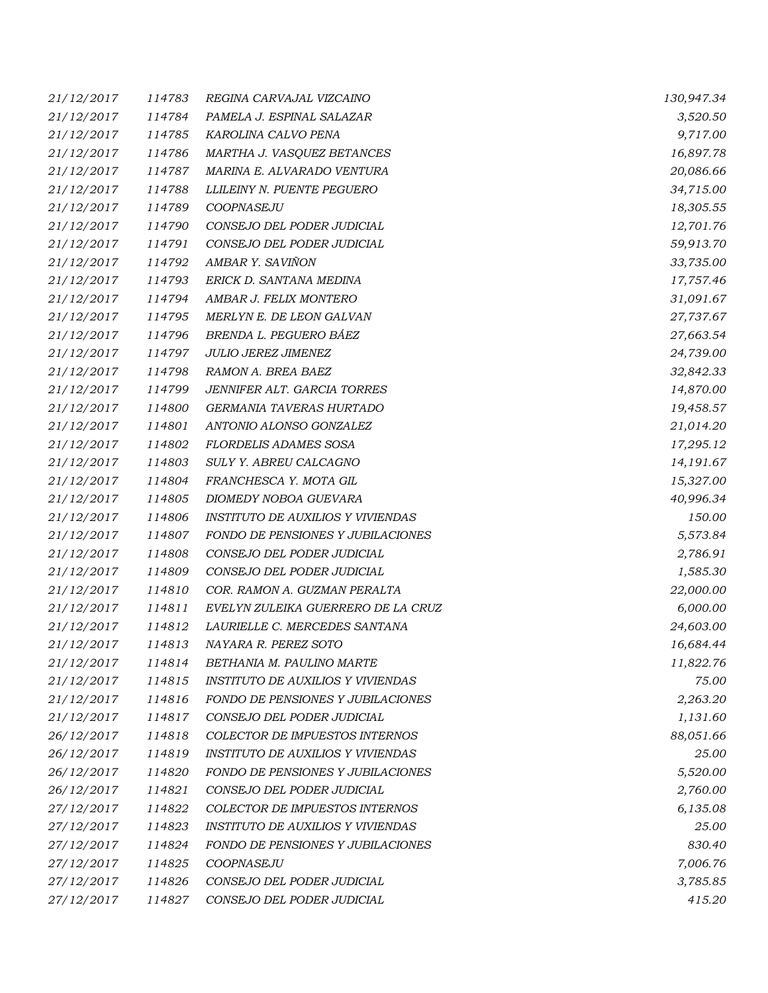| 21/12/2017 | 114783 | REGINA CARVAJAL VIZCAINO                 | 130,947.34 |
|------------|--------|------------------------------------------|------------|
| 21/12/2017 | 114784 | PAMELA J. ESPINAL SALAZAR                | 3,520.50   |
| 21/12/2017 | 114785 | KAROLINA CALVO PENA                      | 9,717.00   |
| 21/12/2017 | 114786 | MARTHA J. VASQUEZ BETANCES               | 16,897.78  |
| 21/12/2017 | 114787 | MARINA E. ALVARADO VENTURA               | 20,086.66  |
| 21/12/2017 | 114788 | LLILEINY N. PUENTE PEGUERO               | 34,715.00  |
| 21/12/2017 | 114789 | COOPNASEJU                               | 18,305.55  |
| 21/12/2017 | 114790 | CONSEJO DEL PODER JUDICIAL               | 12,701.76  |
| 21/12/2017 | 114791 | CONSEJO DEL PODER JUDICIAL               | 59,913.70  |
| 21/12/2017 | 114792 | AMBAR Y. SAVIÑON                         | 33,735.00  |
| 21/12/2017 | 114793 | ERICK D. SANTANA MEDINA                  | 17,757.46  |
| 21/12/2017 | 114794 | AMBAR J. FELIX MONTERO                   | 31,091.67  |
| 21/12/2017 | 114795 | MERLYN E. DE LEON GALVAN                 | 27,737.67  |
| 21/12/2017 | 114796 | BRENDA L. PEGUERO BÁEZ                   | 27,663.54  |
| 21/12/2017 | 114797 | <b>JULIO JEREZ JIMENEZ</b>               | 24,739.00  |
| 21/12/2017 | 114798 | RAMON A. BREA BAEZ                       | 32,842.33  |
| 21/12/2017 | 114799 | JENNIFER ALT. GARCIA TORRES              | 14,870.00  |
| 21/12/2017 | 114800 | GERMANIA TAVERAS HURTADO                 | 19,458.57  |
| 21/12/2017 | 114801 | ANTONIO ALONSO GONZALEZ                  | 21,014.20  |
| 21/12/2017 | 114802 | <b>FLORDELIS ADAMES SOSA</b>             | 17,295.12  |
| 21/12/2017 | 114803 | SULY Y. ABREU CALCAGNO                   | 14,191.67  |
| 21/12/2017 | 114804 | FRANCHESCA Y. MOTA GIL                   | 15,327.00  |
| 21/12/2017 | 114805 | DIOMEDY NOBOA GUEVARA                    | 40,996.34  |
| 21/12/2017 | 114806 | <b>INSTITUTO DE AUXILIOS Y VIVIENDAS</b> | 150.00     |
| 21/12/2017 | 114807 | FONDO DE PENSIONES Y JUBILACIONES        | 5,573.84   |
| 21/12/2017 | 114808 | CONSEJO DEL PODER JUDICIAL               | 2,786.91   |
| 21/12/2017 | 114809 | CONSEJO DEL PODER JUDICIAL               | 1,585.30   |
| 21/12/2017 | 114810 | COR. RAMON A. GUZMAN PERALTA             | 22,000.00  |
| 21/12/2017 | 114811 | EVELYN ZULEIKA GUERRERO DE LA CRUZ       | 6,000.00   |
| 21/12/2017 | 114812 | LAURIELLE C. MERCEDES SANTANA            | 24,603.00  |
| 21/12/2017 | 114813 | NAYARA R. PEREZ SOTO                     | 16,684.44  |
| 21/12/2017 | 114814 | BETHANIA M. PAULINO MARTE                | 11,822.76  |
| 21/12/2017 | 114815 | <b>INSTITUTO DE AUXILIOS Y VIVIENDAS</b> | 75.00      |
| 21/12/2017 | 114816 | FONDO DE PENSIONES Y JUBILACIONES        | 2,263.20   |
| 21/12/2017 | 114817 | CONSEJO DEL PODER JUDICIAL               | 1,131.60   |
| 26/12/2017 | 114818 | COLECTOR DE IMPUESTOS INTERNOS           | 88,051.66  |
| 26/12/2017 | 114819 | <b>INSTITUTO DE AUXILIOS Y VIVIENDAS</b> | 25.00      |
| 26/12/2017 | 114820 | FONDO DE PENSIONES Y JUBILACIONES        | 5,520.00   |
| 26/12/2017 | 114821 | CONSEJO DEL PODER JUDICIAL               | 2,760.00   |
| 27/12/2017 | 114822 | COLECTOR DE IMPUESTOS INTERNOS           | 6,135.08   |
| 27/12/2017 | 114823 | <b>INSTITUTO DE AUXILIOS Y VIVIENDAS</b> | 25.00      |
| 27/12/2017 | 114824 | FONDO DE PENSIONES Y JUBILACIONES        | 830.40     |
| 27/12/2017 | 114825 | COOPNASEJU                               | 7,006.76   |
| 27/12/2017 | 114826 | CONSEJO DEL PODER JUDICIAL               | 3,785.85   |
| 27/12/2017 | 114827 | CONSEJO DEL PODER JUDICIAL               | 415.20     |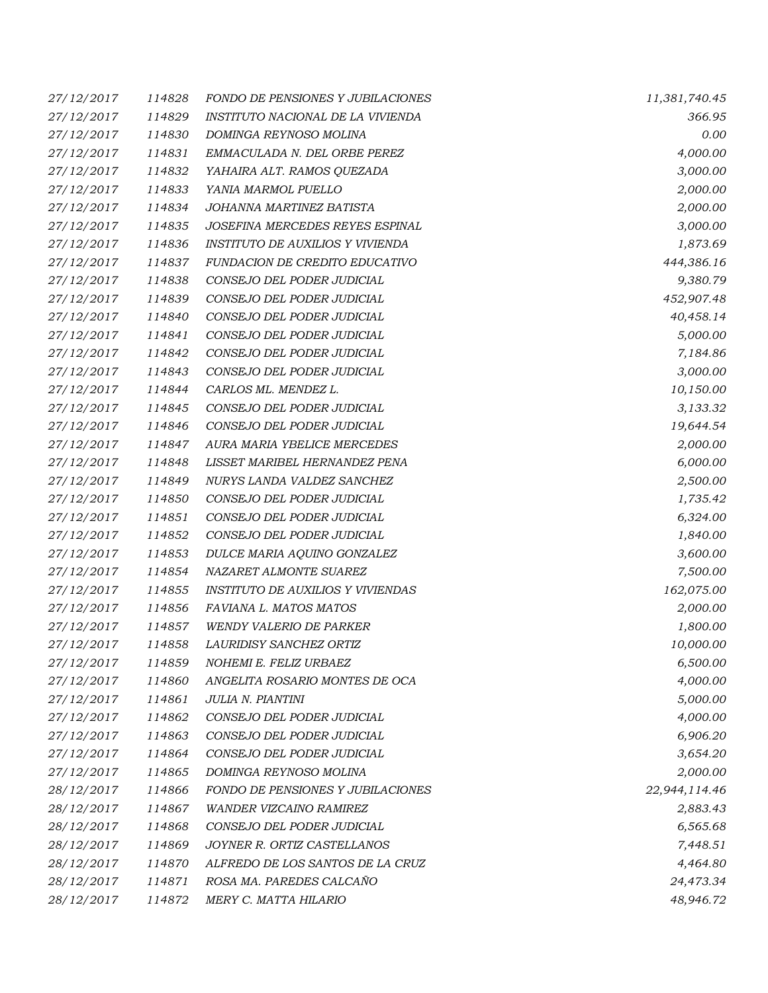| 27/12/2017        | 114828 | FONDO DE PENSIONES Y JUBILACIONES        | 11,381,740.45 |
|-------------------|--------|------------------------------------------|---------------|
| 27/12/2017        | 114829 | INSTITUTO NACIONAL DE LA VIVIENDA        | 366.95        |
| 27/12/2017        | 114830 | DOMINGA REYNOSO MOLINA                   | 0.00          |
| 27/12/2017        | 114831 | EMMACULADA N. DEL ORBE PEREZ             | 4,000.00      |
| 27/12/2017        | 114832 | YAHAIRA ALT. RAMOS QUEZADA               | 3,000.00      |
| 27/12/2017        | 114833 | YANIA MARMOL PUELLO                      | 2,000.00      |
| 27/12/2017        | 114834 | JOHANNA MARTINEZ BATISTA                 | 2,000.00      |
| 27/12/2017        | 114835 | JOSEFINA MERCEDES REYES ESPINAL          | 3,000.00      |
| 27/12/2017        | 114836 | INSTITUTO DE AUXILIOS Y VIVIENDA         | 1,873.69      |
| 27/12/2017        | 114837 | FUNDACION DE CREDITO EDUCATIVO           | 444,386.16    |
| 27/12/2017        | 114838 | CONSEJO DEL PODER JUDICIAL               | 9,380.79      |
| 27/12/2017        | 114839 | CONSEJO DEL PODER JUDICIAL               | 452,907.48    |
| 27/12/2017        | 114840 | CONSEJO DEL PODER JUDICIAL               | 40,458.14     |
| 27/12/2017        | 114841 | CONSEJO DEL PODER JUDICIAL               | 5,000.00      |
| 27/12/2017        | 114842 | CONSEJO DEL PODER JUDICIAL               | 7,184.86      |
| 27/12/2017        | 114843 | CONSEJO DEL PODER JUDICIAL               | 3,000.00      |
| 27/12/2017        | 114844 | CARLOS ML. MENDEZ L.                     | 10,150.00     |
| 27/12/2017        | 114845 | CONSEJO DEL PODER JUDICIAL               | 3,133.32      |
| 27/12/2017        | 114846 | CONSEJO DEL PODER JUDICIAL               | 19,644.54     |
| 27/12/2017        | 114847 | AURA MARIA YBELICE MERCEDES              | 2,000.00      |
| 27/12/2017        | 114848 | LISSET MARIBEL HERNANDEZ PENA            | 6,000.00      |
| 27/12/2017        | 114849 | NURYS LANDA VALDEZ SANCHEZ               | 2,500.00      |
| 27/12/2017        | 114850 | CONSEJO DEL PODER JUDICIAL               | 1,735.42      |
| 27/12/2017        | 114851 | CONSEJO DEL PODER JUDICIAL               | 6,324.00      |
| 27/12/2017        | 114852 | CONSEJO DEL PODER JUDICIAL               | 1,840.00      |
| 27/12/2017        | 114853 | DULCE MARIA AQUINO GONZALEZ              | 3,600.00      |
| 27/12/2017        | 114854 | NAZARET ALMONTE SUAREZ                   | 7,500.00      |
| 27/12/2017        | 114855 | <b>INSTITUTO DE AUXILIOS Y VIVIENDAS</b> | 162,075.00    |
| 27/12/2017        | 114856 | FAVIANA L. MATOS MATOS                   | 2,000.00      |
| 27/12/2017        | 114857 | <b>WENDY VALERIO DE PARKER</b>           | 1,800.00      |
| 27/12/2017        | 114858 | LAURIDISY SANCHEZ ORTIZ                  | 10,000.00     |
| <i>27/12/2017</i> | 114859 | NOHEMI E. FELIZ URBAEZ                   | 6,500.00      |
| 27/12/2017        | 114860 | ANGELITA ROSARIO MONTES DE OCA           | 4,000.00      |
| 27/12/2017        | 114861 | JULIA N. PIANTINI                        | 5,000.00      |
| 27/12/2017        | 114862 | CONSEJO DEL PODER JUDICIAL               | 4,000.00      |
| 27/12/2017        | 114863 | CONSEJO DEL PODER JUDICIAL               | 6,906.20      |
| 27/12/2017        | 114864 | CONSEJO DEL PODER JUDICIAL               | 3,654.20      |
| 27/12/2017        | 114865 | DOMINGA REYNOSO MOLINA                   | 2,000.00      |
| 28/12/2017        | 114866 | FONDO DE PENSIONES Y JUBILACIONES        | 22,944,114.46 |
| 28/12/2017        | 114867 | WANDER VIZCAINO RAMIREZ                  | 2,883.43      |
| 28/12/2017        | 114868 | CONSEJO DEL PODER JUDICIAL               | 6,565.68      |
| 28/12/2017        | 114869 | JOYNER R. ORTIZ CASTELLANOS              | 7,448.51      |
| 28/12/2017        | 114870 | ALFREDO DE LOS SANTOS DE LA CRUZ         | 4,464.80      |
| 28/12/2017        | 114871 | ROSA MA. PAREDES CALCAÑO                 | 24,473.34     |
| 28/12/2017        | 114872 | MERY C. MATTA HILARIO                    | 48,946.72     |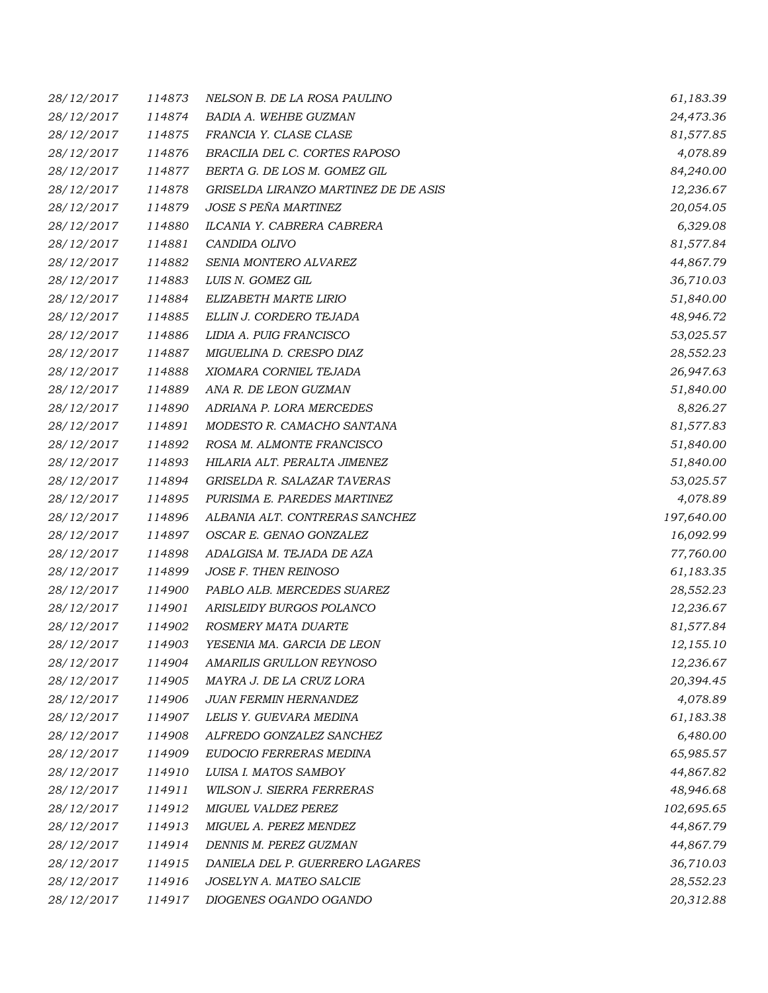| 28/12/2017 | 114873 | NELSON B. DE LA ROSA PAULINO         | 61,183.39  |
|------------|--------|--------------------------------------|------------|
| 28/12/2017 | 114874 | BADIA A. WEHBE GUZMAN                | 24,473.36  |
| 28/12/2017 | 114875 | FRANCIA Y. CLASE CLASE               | 81,577.85  |
| 28/12/2017 | 114876 | BRACILIA DEL C. CORTES RAPOSO        | 4,078.89   |
| 28/12/2017 | 114877 | BERTA G. DE LOS M. GOMEZ GIL         | 84,240.00  |
| 28/12/2017 | 114878 | GRISELDA LIRANZO MARTINEZ DE DE ASIS | 12,236.67  |
| 28/12/2017 | 114879 | JOSE S PEÑA MARTINEZ                 | 20,054.05  |
| 28/12/2017 | 114880 | ILCANIA Y. CABRERA CABRERA           | 6,329.08   |
| 28/12/2017 | 114881 | CANDIDA OLIVO                        | 81,577.84  |
| 28/12/2017 | 114882 | SENIA MONTERO ALVAREZ                | 44,867.79  |
| 28/12/2017 | 114883 | LUIS N. GOMEZ GIL                    | 36,710.03  |
| 28/12/2017 | 114884 | ELIZABETH MARTE LIRIO                | 51,840.00  |
| 28/12/2017 | 114885 | ELLIN J. CORDERO TEJADA              | 48,946.72  |
| 28/12/2017 | 114886 | LIDIA A. PUIG FRANCISCO              | 53,025.57  |
| 28/12/2017 | 114887 | MIGUELINA D. CRESPO DIAZ             | 28,552.23  |
| 28/12/2017 | 114888 | XIOMARA CORNIEL TEJADA               | 26,947.63  |
| 28/12/2017 | 114889 | ANA R. DE LEON GUZMAN                | 51,840.00  |
| 28/12/2017 | 114890 | ADRIANA P. LORA MERCEDES             | 8,826.27   |
| 28/12/2017 | 114891 | MODESTO R. CAMACHO SANTANA           | 81,577.83  |
| 28/12/2017 | 114892 | ROSA M. ALMONTE FRANCISCO            | 51,840.00  |
| 28/12/2017 | 114893 | HILARIA ALT. PERALTA JIMENEZ         | 51,840.00  |
| 28/12/2017 | 114894 | GRISELDA R. SALAZAR TAVERAS          | 53,025.57  |
| 28/12/2017 | 114895 | PURISIMA E. PAREDES MARTINEZ         | 4,078.89   |
| 28/12/2017 | 114896 | ALBANIA ALT. CONTRERAS SANCHEZ       | 197,640.00 |
| 28/12/2017 | 114897 | OSCAR E. GENAO GONZALEZ              | 16,092.99  |
| 28/12/2017 | 114898 | ADALGISA M. TEJADA DE AZA            | 77,760.00  |
| 28/12/2017 | 114899 | JOSE F. THEN REINOSO                 | 61,183.35  |
| 28/12/2017 | 114900 | PABLO ALB. MERCEDES SUAREZ           | 28,552.23  |
| 28/12/2017 | 114901 | ARISLEIDY BURGOS POLANCO             | 12,236.67  |
| 28/12/2017 | 114902 | ROSMERY MATA DUARTE                  | 81,577.84  |
| 28/12/2017 | 114903 | YESENIA MA. GARCIA DE LEON           | 12,155.10  |
| 28/12/2017 | 114904 | AMARILIS GRULLON REYNOSO             | 12,236.67  |
| 28/12/2017 | 114905 | MAYRA J. DE LA CRUZ LORA             | 20,394.45  |
| 28/12/2017 | 114906 | JUAN FERMIN HERNANDEZ                | 4,078.89   |
| 28/12/2017 | 114907 | LELIS Y. GUEVARA MEDINA              | 61,183.38  |
| 28/12/2017 | 114908 | ALFREDO GONZALEZ SANCHEZ             | 6,480.00   |
| 28/12/2017 | 114909 | EUDOCIO FERRERAS MEDINA              | 65,985.57  |
| 28/12/2017 | 114910 | LUISA I. MATOS SAMBOY                | 44,867.82  |
| 28/12/2017 | 114911 | WILSON J. SIERRA FERRERAS            | 48,946.68  |
| 28/12/2017 | 114912 | MIGUEL VALDEZ PEREZ                  | 102,695.65 |
| 28/12/2017 | 114913 | MIGUEL A. PEREZ MENDEZ               | 44,867.79  |
| 28/12/2017 | 114914 | DENNIS M. PEREZ GUZMAN               | 44,867.79  |
| 28/12/2017 | 114915 | DANIELA DEL P. GUERRERO LAGARES      | 36,710.03  |
| 28/12/2017 | 114916 | JOSELYN A. MATEO SALCIE              | 28,552.23  |
| 28/12/2017 | 114917 | DIOGENES OGANDO OGANDO               | 20,312.88  |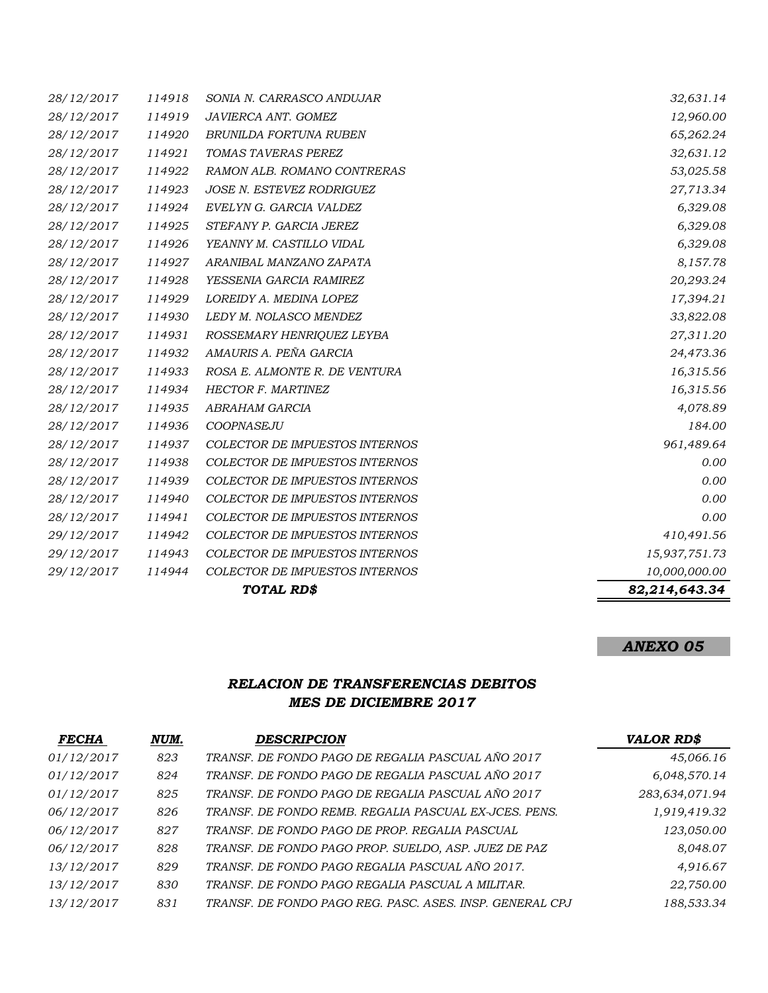|            |        | TOTAL RD\$                            | 82,214,643.34 |
|------------|--------|---------------------------------------|---------------|
| 29/12/2017 | 114944 | <b>COLECTOR DE IMPUESTOS INTERNOS</b> | 10,000,000.00 |
| 29/12/2017 | 114943 | COLECTOR DE IMPUESTOS INTERNOS        | 15,937,751.73 |
| 29/12/2017 | 114942 | <b>COLECTOR DE IMPUESTOS INTERNOS</b> | 410,491.56    |
| 28/12/2017 | 114941 | <b>COLECTOR DE IMPUESTOS INTERNOS</b> | 0.00          |
| 28/12/2017 | 114940 | <b>COLECTOR DE IMPUESTOS INTERNOS</b> | 0.00          |
| 28/12/2017 | 114939 | <b>COLECTOR DE IMPUESTOS INTERNOS</b> | 0.00          |
| 28/12/2017 | 114938 | <b>COLECTOR DE IMPUESTOS INTERNOS</b> | 0.00          |
| 28/12/2017 | 114937 | <b>COLECTOR DE IMPUESTOS INTERNOS</b> | 961,489.64    |
| 28/12/2017 | 114936 | COOPNASEJU                            | 184.00        |
| 28/12/2017 | 114935 | ABRAHAM GARCIA                        | 4,078.89      |
| 28/12/2017 | 114934 | <b>HECTOR F. MARTINEZ</b>             | 16,315.56     |
| 28/12/2017 | 114933 | ROSA E. ALMONTE R. DE VENTURA         | 16,315.56     |
| 28/12/2017 | 114932 | AMAURIS A. PEÑA GARCIA                | 24,473.36     |
| 28/12/2017 | 114931 | ROSSEMARY HENRIQUEZ LEYBA             | 27,311.20     |
| 28/12/2017 | 114930 | LEDY M. NOLASCO MENDEZ                | 33,822.08     |
| 28/12/2017 | 114929 | LOREIDY A. MEDINA LOPEZ               | 17,394.21     |
| 28/12/2017 | 114928 | YESSENIA GARCIA RAMIREZ               | 20,293.24     |
| 28/12/2017 | 114927 | ARANIBAL MANZANO ZAPATA               | 8,157.78      |
| 28/12/2017 | 114926 | YEANNY M. CASTILLO VIDAL              | 6,329.08      |
| 28/12/2017 | 114925 | STEFANY P. GARCIA JEREZ               | 6,329.08      |
| 28/12/2017 | 114924 | EVELYN G. GARCIA VALDEZ               | 6,329.08      |
| 28/12/2017 | 114923 | <b>JOSE N. ESTEVEZ RODRIGUEZ</b>      | 27,713.34     |
| 28/12/2017 | 114922 | RAMON ALB. ROMANO CONTRERAS           | 53,025.58     |
| 28/12/2017 | 114921 | TOMAS TAVERAS PEREZ                   | 32,631.12     |
| 28/12/2017 | 114920 | BRUNILDA FORTUNA RUBEN                | 65,262.24     |
| 28/12/2017 | 114919 | JAVIERCA ANT. GOMEZ                   | 12,960.00     |
| 28/12/2017 | 114918 | SONIA N. CARRASCO ANDUJAR             | 32,631.14     |

# *ANEXO 05*

## *RELACION DE TRANSFERENCIAS DEBITOS MES DE DICIEMBRE 2017*

| <b>FECHA</b> | NUM. | <b>DESCRIPCION</b>                                       | <b>VALOR RD\$</b> |
|--------------|------|----------------------------------------------------------|-------------------|
| 01/12/2017   | 823  | TRANSF. DE FONDO PAGO DE REGALIA PASCUAL AÑO 2017        | 45,066.16         |
| 01/12/2017   | 824  | TRANSF. DE FONDO PAGO DE REGALIA PASCUAL AÑO 2017        | 6,048,570.14      |
| 01/12/2017   | 825  | TRANSF. DE FONDO PAGO DE REGALIA PASCUAL AÑO 2017        | 283,634,071.94    |
| 06/12/2017   | 826  | TRANSF. DE FONDO REMB. REGALIA PASCUAL EX-JCES. PENS.    | 1,919,419.32      |
| 06/12/2017   | 827  | TRANSF. DE FONDO PAGO DE PROP. REGALIA PASCUAL           | 123,050.00        |
| 06/12/2017   | 828  | TRANSF. DE FONDO PAGO PROP. SUELDO, ASP. JUEZ DE PAZ     | 8,048.07          |
| 13/12/2017   | 829  | TRANSF. DE FONDO PAGO REGALIA PASCUAL AÑO 2017.          | 4,916.67          |
| 13/12/2017   | 830  | TRANSF. DE FONDO PAGO REGALIA PASCUAL A MILITAR.         | 22,750.00         |
| 13/12/2017   | 831  | TRANSF. DE FONDO PAGO REG. PASC. ASES. INSP. GENERAL CPJ | 188,533.34        |